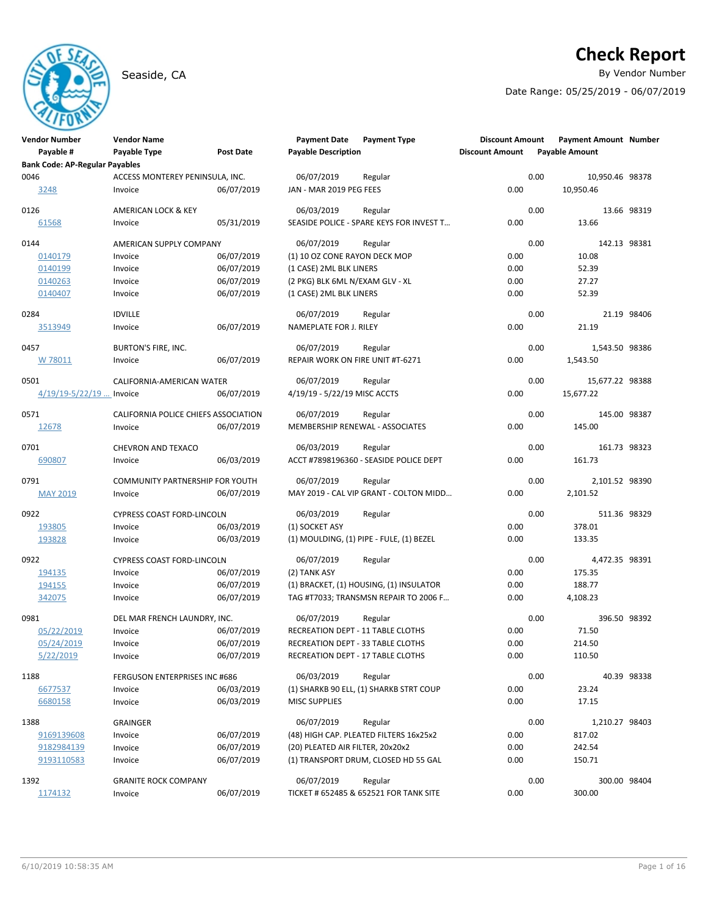# **Check Report**

Seaside, CA By Vendor Number and Seaside, CA By Vendor Number and Seaside, CA By Vendor Number and Seaside and S

Date Range: 05/25/2019 - 06/07/2019

| <b>Vendor Number</b>                  | <b>Vendor Name</b>                   |                  | <b>Payment Date</b>               | <b>Payment Type</b>                      | <b>Discount Amount</b> |      | Payment Amount Number |              |
|---------------------------------------|--------------------------------------|------------------|-----------------------------------|------------------------------------------|------------------------|------|-----------------------|--------------|
| Payable #                             | Payable Type                         | <b>Post Date</b> | <b>Payable Description</b>        |                                          | <b>Discount Amount</b> |      | <b>Payable Amount</b> |              |
| <b>Bank Code: AP-Regular Payables</b> |                                      |                  |                                   |                                          |                        |      |                       |              |
| 0046                                  | ACCESS MONTEREY PENINSULA, INC.      |                  | 06/07/2019                        | Regular                                  |                        | 0.00 | 10,950.46 98378       |              |
| 3248                                  | Invoice                              | 06/07/2019       | JAN - MAR 2019 PEG FEES           |                                          | 0.00                   |      | 10,950.46             |              |
| 0126                                  | AMERICAN LOCK & KEY                  |                  | 06/03/2019                        | Regular                                  |                        | 0.00 |                       | 13.66 98319  |
| 61568                                 | Invoice                              | 05/31/2019       |                                   | SEASIDE POLICE - SPARE KEYS FOR INVEST T | 0.00                   |      | 13.66                 |              |
| 0144                                  | AMERICAN SUPPLY COMPANY              |                  | 06/07/2019                        | Regular                                  |                        | 0.00 | 142.13 98381          |              |
| 0140179                               | Invoice                              | 06/07/2019       | (1) 10 OZ CONE RAYON DECK MOP     |                                          | 0.00                   |      | 10.08                 |              |
| 0140199                               | Invoice                              | 06/07/2019       | (1 CASE) 2ML BLK LINERS           |                                          | 0.00                   |      | 52.39                 |              |
| 0140263                               | Invoice                              | 06/07/2019       | (2 PKG) BLK 6ML N/EXAM GLV - XL   |                                          | 0.00                   |      | 27.27                 |              |
| 0140407                               | Invoice                              | 06/07/2019       | (1 CASE) 2ML BLK LINERS           |                                          | 0.00                   |      | 52.39                 |              |
| 0284                                  | <b>IDVILLE</b>                       |                  | 06/07/2019                        | Regular                                  |                        | 0.00 |                       | 21.19 98406  |
| 3513949                               | Invoice                              | 06/07/2019       | NAMEPLATE FOR J. RILEY            |                                          | 0.00                   |      | 21.19                 |              |
| 0457                                  | <b>BURTON'S FIRE, INC.</b>           |                  | 06/07/2019                        | Regular                                  |                        | 0.00 | 1,543.50 98386        |              |
| W 78011                               | Invoice                              | 06/07/2019       | REPAIR WORK ON FIRE UNIT #T-6271  |                                          | 0.00                   |      | 1,543.50              |              |
| 0501                                  | CALIFORNIA-AMERICAN WATER            |                  | 06/07/2019                        | Regular                                  |                        | 0.00 | 15,677.22 98388       |              |
| $4/19/19 - 5/22/19$ Invoice           |                                      | 06/07/2019       | 4/19/19 - 5/22/19 MISC ACCTS      |                                          | 0.00                   |      | 15,677.22             |              |
| 0571                                  | CALIFORNIA POLICE CHIEFS ASSOCIATION |                  | 06/07/2019                        | Regular                                  |                        | 0.00 | 145.00 98387          |              |
| 12678                                 | Invoice                              | 06/07/2019       | MEMBERSHIP RENEWAL - ASSOCIATES   |                                          | 0.00                   |      | 145.00                |              |
| 0701                                  | CHEVRON AND TEXACO                   |                  | 06/03/2019                        | Regular                                  |                        | 0.00 | 161.73 98323          |              |
| 690807                                | Invoice                              | 06/03/2019       |                                   | ACCT #7898196360 - SEASIDE POLICE DEPT   | 0.00                   |      | 161.73                |              |
| 0791                                  | COMMUNITY PARTNERSHIP FOR YOUTH      |                  | 06/07/2019                        | Regular                                  |                        | 0.00 | 2,101.52 98390        |              |
| <b>MAY 2019</b>                       | Invoice                              | 06/07/2019       |                                   | MAY 2019 - CAL VIP GRANT - COLTON MIDD   | 0.00                   |      | 2,101.52              |              |
| 0922                                  | <b>CYPRESS COAST FORD-LINCOLN</b>    |                  | 06/03/2019                        | Regular                                  |                        | 0.00 | 511.36 98329          |              |
| 193805                                | Invoice                              | 06/03/2019       | (1) SOCKET ASY                    |                                          | 0.00                   |      | 378.01                |              |
| 193828                                | Invoice                              | 06/03/2019       |                                   | (1) MOULDING, (1) PIPE - FULE, (1) BEZEL | 0.00                   |      | 133.35                |              |
| 0922                                  | <b>CYPRESS COAST FORD-LINCOLN</b>    |                  | 06/07/2019                        | Regular                                  |                        | 0.00 | 4,472.35 98391        |              |
| 194135                                | Invoice                              | 06/07/2019       | (2) TANK ASY                      |                                          | 0.00                   |      | 175.35                |              |
| 194155                                | Invoice                              | 06/07/2019       |                                   | (1) BRACKET, (1) HOUSING, (1) INSULATOR  | 0.00                   |      | 188.77                |              |
| 342075                                | Invoice                              | 06/07/2019       |                                   | TAG #T7033; TRANSMSN REPAIR TO 2006 F    | 0.00                   |      | 4,108.23              |              |
| 0981                                  | DEL MAR FRENCH LAUNDRY, INC.         |                  | 06/07/2019                        | Regular                                  |                        | 0.00 | 396.50 98392          |              |
| 05/22/2019                            | Invoice                              | 06/07/2019       | RECREATION DEPT - 11 TABLE CLOTHS |                                          | 0.00                   |      | 71.50                 |              |
| 05/24/2019                            | Invoice                              | 06/07/2019       | RECREATION DEPT - 33 TABLE CLOTHS |                                          | 0.00                   |      | 214.50                |              |
| 5/22/2019                             | Invoice                              | 06/07/2019       | RECREATION DEPT - 17 TABLE CLOTHS |                                          | 0.00                   |      | 110.50                |              |
| 1188                                  | FERGUSON ENTERPRISES INC #686        |                  | 06/03/2019                        | Regular                                  |                        | 0.00 |                       | 40.39 98338  |
| 6677537                               | Invoice                              | 06/03/2019       |                                   | (1) SHARKB 90 ELL, (1) SHARKB STRT COUP  | 0.00                   |      | 23.24                 |              |
| 6680158                               | Invoice                              | 06/03/2019       | <b>MISC SUPPLIES</b>              |                                          | 0.00                   |      | 17.15                 |              |
| 1388                                  | <b>GRAINGER</b>                      |                  | 06/07/2019                        | Regular                                  |                        | 0.00 | 1,210.27 98403        |              |
| 9169139608                            | Invoice                              | 06/07/2019       |                                   | (48) HIGH CAP. PLEATED FILTERS 16x25x2   | 0.00                   |      | 817.02                |              |
| 9182984139                            | Invoice                              | 06/07/2019       | (20) PLEATED AIR FILTER, 20x20x2  |                                          | 0.00                   |      | 242.54                |              |
| 9193110583                            | Invoice                              | 06/07/2019       |                                   | (1) TRANSPORT DRUM, CLOSED HD 55 GAL     | 0.00                   |      | 150.71                |              |
| 1392                                  | <b>GRANITE ROCK COMPANY</b>          |                  | 06/07/2019                        | Regular                                  |                        | 0.00 |                       | 300.00 98404 |
| 1174132                               | Invoice                              | 06/07/2019       |                                   | TICKET # 652485 & 652521 FOR TANK SITE   | 0.00                   |      | 300.00                |              |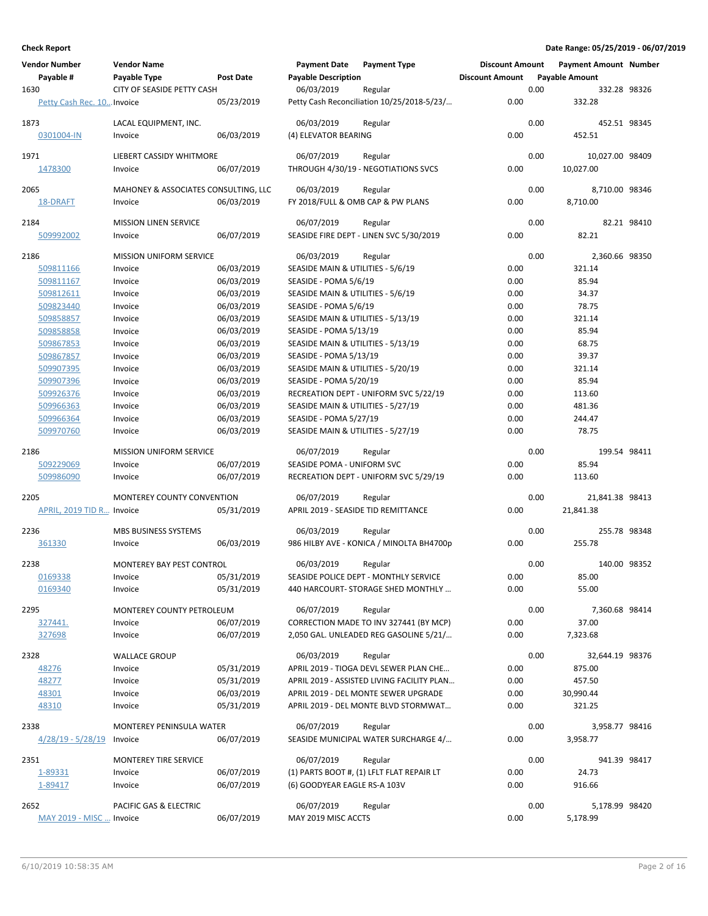| <b>Vendor Number</b><br>Payable #<br>1630 | <b>Vendor Name</b><br>Payable Type<br>CITY OF SEASIDE PETTY CASH | Post Date                | <b>Payment Date</b><br><b>Payable Description</b><br>06/03/2019 | <b>Payment Type</b><br>Regular                 | <b>Discount Amount</b><br><b>Discount Amount</b> | 0.00 | <b>Payment Amount Number</b><br><b>Payable Amount</b><br>332.28 98326 |             |
|-------------------------------------------|------------------------------------------------------------------|--------------------------|-----------------------------------------------------------------|------------------------------------------------|--------------------------------------------------|------|-----------------------------------------------------------------------|-------------|
| Petty Cash Rec. 10 Invoice                |                                                                  | 05/23/2019               |                                                                 | Petty Cash Reconciliation 10/25/2018-5/23/     | 0.00                                             |      | 332.28                                                                |             |
| 1873<br>0301004-IN                        | LACAL EQUIPMENT, INC.<br>Invoice                                 | 06/03/2019               | 06/03/2019<br>(4) ELEVATOR BEARING                              | Regular                                        | 0.00                                             | 0.00 | 452.51 98345<br>452.51                                                |             |
| 1971<br>1478300                           | LIEBERT CASSIDY WHITMORE<br>Invoice                              | 06/07/2019               | 06/07/2019                                                      | Regular<br>THROUGH 4/30/19 - NEGOTIATIONS SVCS | 0.00                                             | 0.00 | 10,027.00 98409<br>10,027.00                                          |             |
| 2065                                      | MAHONEY & ASSOCIATES CONSULTING, LLC                             |                          | 06/03/2019                                                      | Regular                                        |                                                  | 0.00 | 8,710.00 98346                                                        |             |
| 18-DRAFT                                  | Invoice                                                          | 06/03/2019               | FY 2018/FULL & OMB CAP & PW PLANS                               |                                                | 0.00                                             |      | 8,710.00                                                              |             |
| 2184                                      | <b>MISSION LINEN SERVICE</b>                                     |                          | 06/07/2019                                                      | Regular                                        |                                                  | 0.00 |                                                                       | 82.21 98410 |
| 509992002                                 | Invoice                                                          | 06/07/2019               |                                                                 | SEASIDE FIRE DEPT - LINEN SVC 5/30/2019        | 0.00                                             |      | 82.21                                                                 |             |
| 2186                                      | <b>MISSION UNIFORM SERVICE</b>                                   |                          | 06/03/2019                                                      | Regular                                        |                                                  | 0.00 | 2,360.66 98350                                                        |             |
| 509811166                                 | Invoice                                                          | 06/03/2019               | SEASIDE MAIN & UTILITIES - 5/6/19                               |                                                | 0.00                                             |      | 321.14                                                                |             |
| 509811167                                 | Invoice                                                          | 06/03/2019               | SEASIDE - POMA 5/6/19                                           |                                                | 0.00                                             |      | 85.94                                                                 |             |
| 509812611                                 | Invoice                                                          | 06/03/2019               | SEASIDE MAIN & UTILITIES - 5/6/19                               |                                                | 0.00                                             |      | 34.37                                                                 |             |
| 509823440                                 | Invoice                                                          | 06/03/2019               | SEASIDE - POMA 5/6/19                                           |                                                | 0.00                                             |      | 78.75                                                                 |             |
| 509858857                                 | Invoice                                                          | 06/03/2019               | SEASIDE MAIN & UTILITIES - 5/13/19                              |                                                | 0.00                                             |      | 321.14                                                                |             |
| 509858858<br>509867853                    | Invoice<br>Invoice                                               | 06/03/2019<br>06/03/2019 | SEASIDE - POMA 5/13/19<br>SEASIDE MAIN & UTILITIES - 5/13/19    |                                                | 0.00<br>0.00                                     |      | 85.94<br>68.75                                                        |             |
| 509867857                                 | Invoice                                                          | 06/03/2019               | SEASIDE - POMA 5/13/19                                          |                                                | 0.00                                             |      | 39.37                                                                 |             |
| 509907395                                 | Invoice                                                          | 06/03/2019               | SEASIDE MAIN & UTILITIES - 5/20/19                              |                                                | 0.00                                             |      | 321.14                                                                |             |
| 509907396                                 | Invoice                                                          | 06/03/2019               | SEASIDE - POMA 5/20/19                                          |                                                | 0.00                                             |      | 85.94                                                                 |             |
| 509926376                                 | Invoice                                                          | 06/03/2019               |                                                                 | RECREATION DEPT - UNIFORM SVC 5/22/19          | 0.00                                             |      | 113.60                                                                |             |
| 509966363                                 | Invoice                                                          | 06/03/2019               | SEASIDE MAIN & UTILITIES - 5/27/19                              |                                                | 0.00                                             |      | 481.36                                                                |             |
| 509966364                                 | Invoice                                                          | 06/03/2019               | SEASIDE - POMA 5/27/19                                          |                                                | 0.00                                             |      | 244.47                                                                |             |
| 509970760                                 | Invoice                                                          | 06/03/2019               | SEASIDE MAIN & UTILITIES - 5/27/19                              |                                                | 0.00                                             |      | 78.75                                                                 |             |
| 2186                                      | <b>MISSION UNIFORM SERVICE</b>                                   |                          | 06/07/2019                                                      | Regular                                        |                                                  | 0.00 | 199.54 98411                                                          |             |
| 509229069                                 | Invoice                                                          | 06/07/2019               | SEASIDE POMA - UNIFORM SVC                                      |                                                | 0.00                                             |      | 85.94                                                                 |             |
| 509986090                                 | Invoice                                                          | 06/07/2019               |                                                                 | RECREATION DEPT - UNIFORM SVC 5/29/19          | 0.00                                             |      | 113.60                                                                |             |
| 2205                                      | MONTEREY COUNTY CONVENTION                                       |                          | 06/07/2019                                                      | Regular                                        |                                                  | 0.00 | 21,841.38 98413                                                       |             |
| APRIL, 2019 TID R Invoice                 |                                                                  | 05/31/2019               | APRIL 2019 - SEASIDE TID REMITTANCE                             |                                                | 0.00                                             |      | 21,841.38                                                             |             |
| 2236                                      | MBS BUSINESS SYSTEMS                                             |                          | 06/03/2019                                                      | Regular                                        |                                                  | 0.00 | 255.78 98348                                                          |             |
| 361330                                    | Invoice                                                          | 06/03/2019               |                                                                 | 986 HILBY AVE - KONICA / MINOLTA BH4700p       | 0.00                                             |      | 255.78                                                                |             |
| 2238                                      | <b>MONTEREY BAY PEST CONTROL</b>                                 |                          | 06/03/2019                                                      | Regular                                        |                                                  | 0.00 | 140.00 98352                                                          |             |
| 0169338                                   | Invoice                                                          | 05/31/2019               |                                                                 | SEASIDE POLICE DEPT - MONTHLY SERVICE          | 0.00                                             |      | 85.00                                                                 |             |
| 0169340                                   | Invoice                                                          | 05/31/2019               |                                                                 | 440 HARCOURT- STORAGE SHED MONTHLY             | 0.00                                             |      | 55.00                                                                 |             |
| 2295                                      | MONTEREY COUNTY PETROLEUM                                        |                          | 06/07/2019                                                      | Regular                                        |                                                  | 0.00 | 7,360.68 98414                                                        |             |
| 327441.                                   | Invoice                                                          | 06/07/2019               |                                                                 | CORRECTION MADE TO INV 327441 (BY MCP)         | 0.00                                             |      | 37.00                                                                 |             |
| 327698                                    | Invoice                                                          | 06/07/2019               |                                                                 | 2,050 GAL. UNLEADED REG GASOLINE 5/21/         | 0.00                                             |      | 7,323.68                                                              |             |
| 2328                                      | <b>WALLACE GROUP</b>                                             |                          | 06/03/2019                                                      | Regular                                        |                                                  | 0.00 | 32,644.19 98376                                                       |             |
| 48276                                     | Invoice                                                          | 05/31/2019               |                                                                 | APRIL 2019 - TIOGA DEVL SEWER PLAN CHE         | 0.00                                             |      | 875.00                                                                |             |
| 48277                                     | Invoice                                                          | 05/31/2019               |                                                                 | APRIL 2019 - ASSISTED LIVING FACILITY PLAN     | 0.00                                             |      | 457.50                                                                |             |
| 48301                                     | Invoice                                                          | 06/03/2019               |                                                                 | APRIL 2019 - DEL MONTE SEWER UPGRADE           | 0.00                                             |      | 30,990.44                                                             |             |
| 48310                                     | Invoice                                                          | 05/31/2019               |                                                                 | APRIL 2019 - DEL MONTE BLVD STORMWAT           | 0.00                                             |      | 321.25                                                                |             |
| 2338                                      | MONTEREY PENINSULA WATER                                         |                          | 06/07/2019                                                      | Regular                                        |                                                  | 0.00 | 3,958.77 98416                                                        |             |
| $4/28/19 - 5/28/19$                       | Invoice                                                          | 06/07/2019               |                                                                 | SEASIDE MUNICIPAL WATER SURCHARGE 4/           | 0.00                                             |      | 3,958.77                                                              |             |
| 2351                                      | <b>MONTEREY TIRE SERVICE</b>                                     |                          | 06/07/2019                                                      | Regular                                        |                                                  | 0.00 | 941.39 98417                                                          |             |
| 1-89331                                   | Invoice                                                          | 06/07/2019               |                                                                 | (1) PARTS BOOT #, (1) LFLT FLAT REPAIR LT      | 0.00                                             |      | 24.73                                                                 |             |
| 1-89417                                   | Invoice                                                          | 06/07/2019               | (6) GOODYEAR EAGLE RS-A 103V                                    |                                                | 0.00                                             |      | 916.66                                                                |             |
| 2652                                      | PACIFIC GAS & ELECTRIC                                           |                          | 06/07/2019                                                      | Regular                                        |                                                  | 0.00 | 5,178.99 98420                                                        |             |
| MAY 2019 - MISC  Invoice                  |                                                                  | 06/07/2019               | MAY 2019 MISC ACCTS                                             |                                                | 0.00                                             |      | 5,178.99                                                              |             |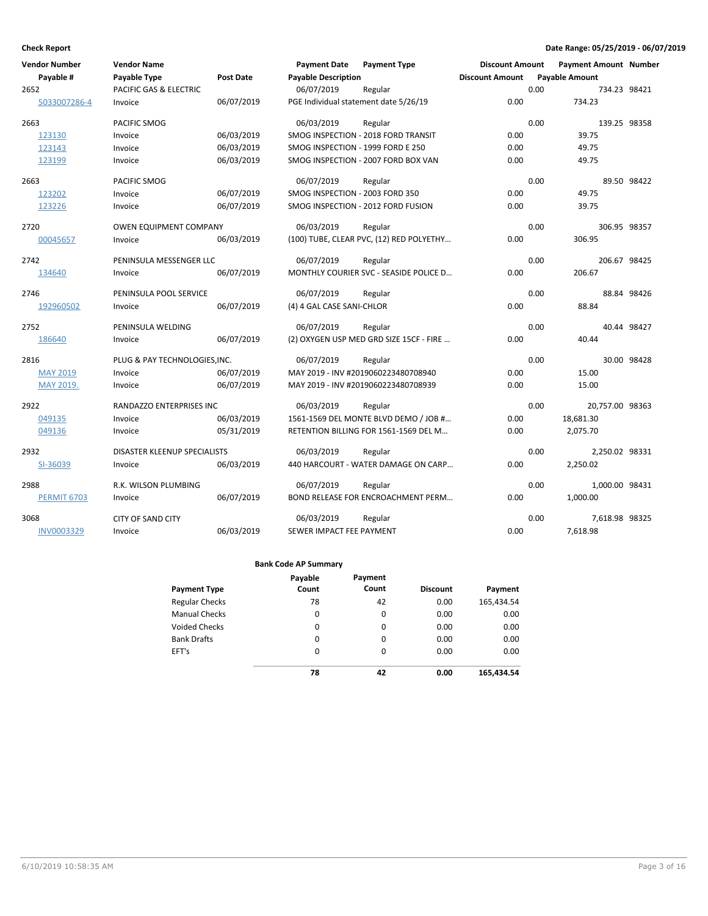| <b>Vendor Number</b> | <b>Vendor Name</b>            |                  | <b>Payment Date</b>                   | <b>Payment Type</b>                      | <b>Discount Amount</b> |      | <b>Payment Amount Number</b> |             |
|----------------------|-------------------------------|------------------|---------------------------------------|------------------------------------------|------------------------|------|------------------------------|-------------|
| Payable #            | Payable Type                  | <b>Post Date</b> | <b>Payable Description</b>            |                                          | <b>Discount Amount</b> |      | <b>Payable Amount</b>        |             |
| 2652                 | PACIFIC GAS & ELECTRIC        |                  | 06/07/2019                            | Regular                                  |                        | 0.00 | 734.23 98421                 |             |
| 5033007286-4         | Invoice                       | 06/07/2019       | PGE Individual statement date 5/26/19 |                                          | 0.00                   |      | 734.23                       |             |
| 2663                 | PACIFIC SMOG                  |                  | 06/03/2019                            | Regular                                  |                        | 0.00 | 139.25 98358                 |             |
| 123130               | Invoice                       | 06/03/2019       |                                       | SMOG INSPECTION - 2018 FORD TRANSIT      | 0.00                   |      | 39.75                        |             |
| 123143               | Invoice                       | 06/03/2019       | SMOG INSPECTION - 1999 FORD E 250     |                                          | 0.00                   |      | 49.75                        |             |
| 123199               | Invoice                       | 06/03/2019       |                                       | SMOG INSPECTION - 2007 FORD BOX VAN      | 0.00                   |      | 49.75                        |             |
| 2663                 | <b>PACIFIC SMOG</b>           |                  | 06/07/2019                            | Regular                                  |                        | 0.00 |                              | 89.50 98422 |
| 123202               | Invoice                       | 06/07/2019       | SMOG INSPECTION - 2003 FORD 350       |                                          | 0.00                   |      | 49.75                        |             |
| 123226               | Invoice                       | 06/07/2019       |                                       | SMOG INSPECTION - 2012 FORD FUSION       | 0.00                   |      | 39.75                        |             |
| 2720                 | <b>OWEN EQUIPMENT COMPANY</b> |                  | 06/03/2019                            | Regular                                  |                        | 0.00 | 306.95 98357                 |             |
| 00045657             | Invoice                       | 06/03/2019       |                                       | (100) TUBE, CLEAR PVC, (12) RED POLYETHY | 0.00                   |      | 306.95                       |             |
| 2742                 | PENINSULA MESSENGER LLC       |                  | 06/07/2019                            | Regular                                  |                        | 0.00 | 206.67 98425                 |             |
| 134640               | Invoice                       | 06/07/2019       |                                       | MONTHLY COURIER SVC - SEASIDE POLICE D   | 0.00                   |      | 206.67                       |             |
| 2746                 | PENINSULA POOL SERVICE        |                  | 06/07/2019                            | Regular                                  |                        | 0.00 |                              | 88.84 98426 |
| 192960502            | Invoice                       | 06/07/2019       | (4) 4 GAL CASE SANI-CHLOR             |                                          | 0.00                   |      | 88.84                        |             |
| 2752                 | PENINSULA WELDING             |                  | 06/07/2019                            | Regular                                  |                        | 0.00 |                              | 40.44 98427 |
| 186640               | Invoice                       | 06/07/2019       |                                       | (2) OXYGEN USP MED GRD SIZE 15CF - FIRE  | 0.00                   |      | 40.44                        |             |
| 2816                 | PLUG & PAY TECHNOLOGIES, INC. |                  | 06/07/2019                            | Regular                                  |                        | 0.00 |                              | 30.00 98428 |
| <b>MAY 2019</b>      | Invoice                       | 06/07/2019       |                                       | MAY 2019 - INV #2019060223480708940      | 0.00                   |      | 15.00                        |             |
| MAY 2019.            | Invoice                       | 06/07/2019       |                                       | MAY 2019 - INV #2019060223480708939      | 0.00                   |      | 15.00                        |             |
| 2922                 | RANDAZZO ENTERPRISES INC      |                  | 06/03/2019                            | Regular                                  |                        | 0.00 | 20,757.00 98363              |             |
| 049135               | Invoice                       | 06/03/2019       |                                       | 1561-1569 DEL MONTE BLVD DEMO / JOB #    | 0.00                   |      | 18,681.30                    |             |
| 049136               | Invoice                       | 05/31/2019       |                                       | RETENTION BILLING FOR 1561-1569 DEL M    | 0.00                   |      | 2,075.70                     |             |
| 2932                 | DISASTER KLEENUP SPECIALISTS  |                  | 06/03/2019                            | Regular                                  |                        | 0.00 | 2,250.02 98331               |             |
| SI-36039             | Invoice                       | 06/03/2019       |                                       | 440 HARCOURT - WATER DAMAGE ON CARP      | 0.00                   |      | 2,250.02                     |             |
| 2988                 | R.K. WILSON PLUMBING          |                  | 06/07/2019                            | Regular                                  |                        | 0.00 | 1,000.00 98431               |             |
| <b>PERMIT 6703</b>   | Invoice                       | 06/07/2019       |                                       | BOND RELEASE FOR ENCROACHMENT PERM       | 0.00                   |      | 1,000.00                     |             |
| 3068                 | <b>CITY OF SAND CITY</b>      |                  | 06/03/2019                            | Regular                                  |                        | 0.00 | 7,618.98 98325               |             |
| <b>INV0003329</b>    | Invoice                       | 06/03/2019       | SEWER IMPACT FEE PAYMENT              |                                          | 0.00                   |      | 7,618.98                     |             |

|                       | Payable  | Payment  |                 |            |
|-----------------------|----------|----------|-----------------|------------|
| <b>Payment Type</b>   | Count    | Count    | <b>Discount</b> | Payment    |
| <b>Regular Checks</b> | 78       | 42       | 0.00            | 165,434.54 |
| <b>Manual Checks</b>  | 0        | 0        | 0.00            | 0.00       |
| <b>Voided Checks</b>  | 0        | 0        | 0.00            | 0.00       |
| <b>Bank Drafts</b>    | 0        | 0        | 0.00            | 0.00       |
| EFT's                 | $\Omega$ | $\Omega$ | 0.00            | 0.00       |
|                       | 78       | 42       | 0.00            | 165,434.54 |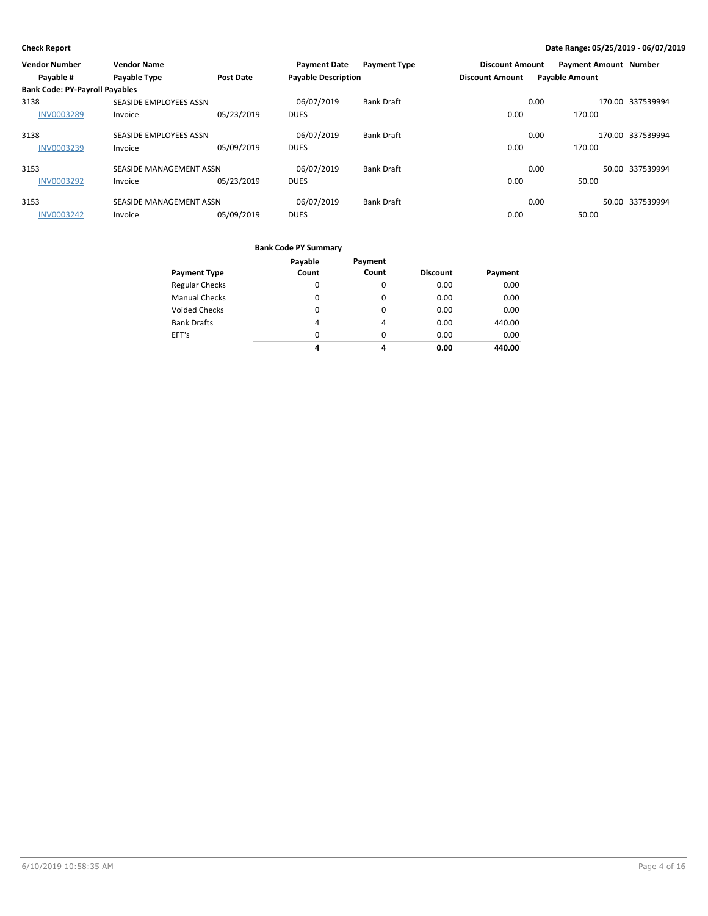| <b>Vendor Number</b>                  | <b>Vendor Name</b>      |                  | <b>Payment Date</b>        | <b>Payment Type</b> | <b>Discount Amount</b> |                       | <b>Payment Amount Number</b> |                  |
|---------------------------------------|-------------------------|------------------|----------------------------|---------------------|------------------------|-----------------------|------------------------------|------------------|
| Payable #                             | Payable Type            | <b>Post Date</b> | <b>Payable Description</b> |                     | <b>Discount Amount</b> | <b>Payable Amount</b> |                              |                  |
| <b>Bank Code: PY-Payroll Payables</b> |                         |                  |                            |                     |                        |                       |                              |                  |
| 3138                                  | SEASIDE EMPLOYEES ASSN  |                  | 06/07/2019                 | <b>Bank Draft</b>   |                        | 0.00                  |                              | 170.00 337539994 |
| <b>INV0003289</b>                     | Invoice                 | 05/23/2019       | <b>DUES</b>                |                     | 0.00                   |                       | 170.00                       |                  |
| 3138                                  | SEASIDE EMPLOYEES ASSN  |                  | 06/07/2019                 | <b>Bank Draft</b>   |                        | 0.00                  |                              | 170.00 337539994 |
| <b>INV0003239</b>                     | Invoice                 | 05/09/2019       | <b>DUES</b>                |                     | 0.00                   |                       | 170.00                       |                  |
| 3153                                  | SEASIDE MANAGEMENT ASSN |                  | 06/07/2019                 | <b>Bank Draft</b>   |                        | 0.00                  |                              | 50.00 337539994  |
| <b>INV0003292</b>                     | Invoice                 | 05/23/2019       | <b>DUES</b>                |                     | 0.00                   |                       | 50.00                        |                  |
| 3153                                  | SEASIDE MANAGEMENT ASSN |                  | 06/07/2019                 | <b>Bank Draft</b>   |                        | 0.00                  |                              | 50.00 337539994  |
| <b>INV0003242</b>                     | Invoice                 | 05/09/2019       | <b>DUES</b>                |                     | 0.00                   |                       | 50.00                        |                  |

|                       | Payable  | Payment  |                 |         |
|-----------------------|----------|----------|-----------------|---------|
| <b>Payment Type</b>   | Count    | Count    | <b>Discount</b> | Payment |
| <b>Regular Checks</b> | $\Omega$ | $\Omega$ | 0.00            | 0.00    |
| <b>Manual Checks</b>  | $\Omega$ | $\Omega$ | 0.00            | 0.00    |
| <b>Voided Checks</b>  | $\Omega$ | $\Omega$ | 0.00            | 0.00    |
| <b>Bank Drafts</b>    | 4        | 4        | 0.00            | 440.00  |
| EFT's                 | $\Omega$ | $\Omega$ | 0.00            | 0.00    |
|                       | 4        | 4        | 0.00            | 440.00  |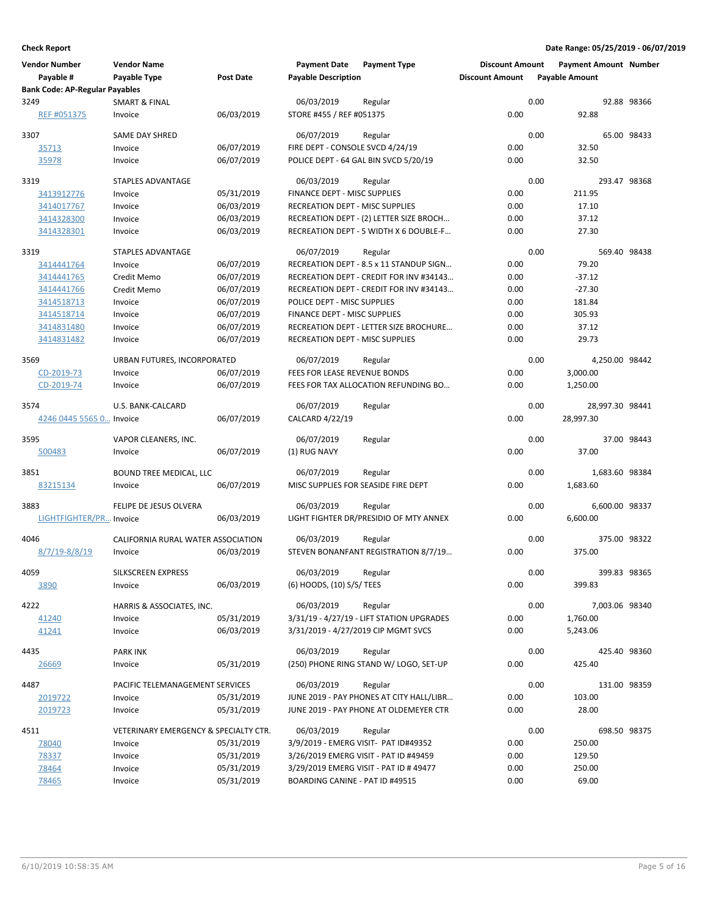| <b>Vendor Number</b>                               | <b>Vendor Name</b>                    |                  | <b>Payment Date</b>              | <b>Payment Type</b>                       | <b>Discount Amount</b> |      | <b>Payment Amount Number</b> |              |
|----------------------------------------------------|---------------------------------------|------------------|----------------------------------|-------------------------------------------|------------------------|------|------------------------------|--------------|
| Payable #<br><b>Bank Code: AP-Regular Payables</b> | Payable Type                          | <b>Post Date</b> | <b>Payable Description</b>       |                                           | <b>Discount Amount</b> |      | <b>Payable Amount</b>        |              |
| 3249                                               | <b>SMART &amp; FINAL</b>              |                  | 06/03/2019                       | Regular                                   |                        | 0.00 |                              | 92.88 98366  |
| REF #051375                                        | Invoice                               | 06/03/2019       | STORE #455 / REF #051375         |                                           | 0.00                   |      | 92.88                        |              |
| 3307                                               | <b>SAME DAY SHRED</b>                 |                  | 06/07/2019                       | Regular                                   |                        | 0.00 |                              | 65.00 98433  |
| 35713                                              | Invoice                               | 06/07/2019       | FIRE DEPT - CONSOLE SVCD 4/24/19 |                                           | 0.00                   |      | 32.50                        |              |
| 35978                                              | Invoice                               | 06/07/2019       |                                  | POLICE DEPT - 64 GAL BIN SVCD 5/20/19     | 0.00                   |      | 32.50                        |              |
| 3319                                               | <b>STAPLES ADVANTAGE</b>              |                  | 06/03/2019                       | Regular                                   |                        | 0.00 |                              | 293.47 98368 |
| 3413912776                                         | Invoice                               | 05/31/2019       | FINANCE DEPT - MISC SUPPLIES     |                                           | 0.00                   |      | 211.95                       |              |
| 3414017767                                         | Invoice                               | 06/03/2019       | RECREATION DEPT - MISC SUPPLIES  |                                           | 0.00                   |      | 17.10                        |              |
| 3414328300                                         | Invoice                               | 06/03/2019       |                                  | RECREATION DEPT - (2) LETTER SIZE BROCH   | 0.00                   |      | 37.12                        |              |
| 3414328301                                         | Invoice                               | 06/03/2019       |                                  | RECREATION DEPT - 5 WIDTH X 6 DOUBLE-F    | 0.00                   |      | 27.30                        |              |
| 3319                                               | <b>STAPLES ADVANTAGE</b>              |                  | 06/07/2019                       | Regular                                   |                        | 0.00 |                              | 569.40 98438 |
| 3414441764                                         | Invoice                               | 06/07/2019       |                                  | RECREATION DEPT - 8.5 x 11 STANDUP SIGN   | 0.00                   |      | 79.20                        |              |
| 3414441765                                         | Credit Memo                           | 06/07/2019       |                                  | RECREATION DEPT - CREDIT FOR INV #34143   | 0.00                   |      | $-37.12$                     |              |
| 3414441766                                         | Credit Memo                           | 06/07/2019       |                                  | RECREATION DEPT - CREDIT FOR INV #34143   | 0.00                   |      | $-27.30$                     |              |
| 3414518713                                         | Invoice                               | 06/07/2019       | POLICE DEPT - MISC SUPPLIES      |                                           | 0.00                   |      | 181.84                       |              |
| 3414518714                                         | Invoice                               | 06/07/2019       | FINANCE DEPT - MISC SUPPLIES     |                                           | 0.00                   |      | 305.93                       |              |
| 3414831480                                         | Invoice                               | 06/07/2019       |                                  | RECREATION DEPT - LETTER SIZE BROCHURE    | 0.00                   |      | 37.12                        |              |
| 3414831482                                         | Invoice                               | 06/07/2019       | RECREATION DEPT - MISC SUPPLIES  |                                           | 0.00                   |      | 29.73                        |              |
| 3569                                               | URBAN FUTURES, INCORPORATED           |                  | 06/07/2019                       | Regular                                   |                        | 0.00 | 4,250.00 98442               |              |
| CD-2019-73                                         | Invoice                               | 06/07/2019       | FEES FOR LEASE REVENUE BONDS     |                                           | 0.00                   |      | 3,000.00                     |              |
| CD-2019-74                                         | Invoice                               | 06/07/2019       |                                  | FEES FOR TAX ALLOCATION REFUNDING BO      | 0.00                   |      | 1,250.00                     |              |
| 3574                                               | U.S. BANK-CALCARD                     |                  | 06/07/2019                       | Regular                                   |                        | 0.00 | 28,997.30 98441              |              |
| 4246 0445 5565 0 Invoice                           |                                       | 06/07/2019       | CALCARD 4/22/19                  |                                           | 0.00                   |      | 28,997.30                    |              |
| 3595                                               | VAPOR CLEANERS, INC.                  |                  | 06/07/2019                       | Regular                                   |                        | 0.00 |                              | 37.00 98443  |
| 500483                                             | Invoice                               | 06/07/2019       | (1) RUG NAVY                     |                                           | 0.00                   |      | 37.00                        |              |
| 3851                                               | <b>BOUND TREE MEDICAL, LLC</b>        |                  | 06/07/2019                       | Regular                                   |                        | 0.00 | 1,683.60 98384               |              |
| 83215134                                           | Invoice                               | 06/07/2019       |                                  | MISC SUPPLIES FOR SEASIDE FIRE DEPT       | 0.00                   |      | 1,683.60                     |              |
| 3883                                               | FELIPE DE JESUS OLVERA                |                  | 06/03/2019                       | Regular                                   |                        | 0.00 | 6,600.00 98337               |              |
| LIGHTFIGHTER/PR Invoice                            |                                       | 06/03/2019       |                                  | LIGHT FIGHTER DR/PRESIDIO OF MTY ANNEX    | 0.00                   |      | 6,600.00                     |              |
| 4046                                               | CALIFORNIA RURAL WATER ASSOCIATION    |                  | 06/03/2019                       | Regular                                   |                        | 0.00 |                              | 375.00 98322 |
| $8/7/19 - 8/8/19$                                  | Invoice                               | 06/03/2019       |                                  | STEVEN BONANFANT REGISTRATION 8/7/19      | 0.00                   |      | 375.00                       |              |
| 4059                                               | <b>SILKSCREEN EXPRESS</b>             |                  | 06/03/2019                       | Regular                                   |                        | 0.00 |                              | 399.83 98365 |
| 3890                                               | Invoice                               | 06/03/2019       | (6) HOODS, (10) S/S/ TEES        |                                           | 0.00                   |      | 399.83                       |              |
| 4222                                               | HARRIS & ASSOCIATES, INC.             |                  | 06/03/2019                       | Regular                                   |                        | 0.00 | 7,003.06 98340               |              |
| 41240                                              | Invoice                               | 05/31/2019       |                                  | 3/31/19 - 4/27/19 - LIFT STATION UPGRADES | 0.00                   |      | 1,760.00                     |              |
| 41241                                              | Invoice                               | 06/03/2019       |                                  | 3/31/2019 - 4/27/2019 CIP MGMT SVCS       | 0.00                   |      | 5,243.06                     |              |
| 4435                                               | <b>PARK INK</b>                       |                  | 06/03/2019                       | Regular                                   |                        | 0.00 |                              | 425.40 98360 |
| 26669                                              | Invoice                               | 05/31/2019       |                                  | (250) PHONE RING STAND W/ LOGO, SET-UP    | 0.00                   |      | 425.40                       |              |
| 4487                                               | PACIFIC TELEMANAGEMENT SERVICES       |                  | 06/03/2019                       | Regular                                   |                        | 0.00 |                              | 131.00 98359 |
| 2019722                                            | Invoice                               | 05/31/2019       |                                  | JUNE 2019 - PAY PHONES AT CITY HALL/LIBR  | 0.00                   |      | 103.00                       |              |
| 2019723                                            | Invoice                               | 05/31/2019       |                                  | JUNE 2019 - PAY PHONE AT OLDEMEYER CTR    | 0.00                   |      | 28.00                        |              |
| 4511                                               | VETERINARY EMERGENCY & SPECIALTY CTR. |                  | 06/03/2019                       | Regular                                   |                        | 0.00 |                              | 698.50 98375 |
| 78040                                              | Invoice                               | 05/31/2019       |                                  | 3/9/2019 - EMERG VISIT- PAT ID#49352      | 0.00                   |      | 250.00                       |              |
| 78337                                              | Invoice                               | 05/31/2019       |                                  | 3/26/2019 EMERG VISIT - PAT ID #49459     | 0.00                   |      | 129.50                       |              |
| 78464                                              | Invoice                               | 05/31/2019       |                                  | 3/29/2019 EMERG VISIT - PAT ID #49477     | 0.00                   |      | 250.00                       |              |
| 78465                                              | Invoice                               | 05/31/2019       | BOARDING CANINE - PAT ID #49515  |                                           | 0.00                   |      | 69.00                        |              |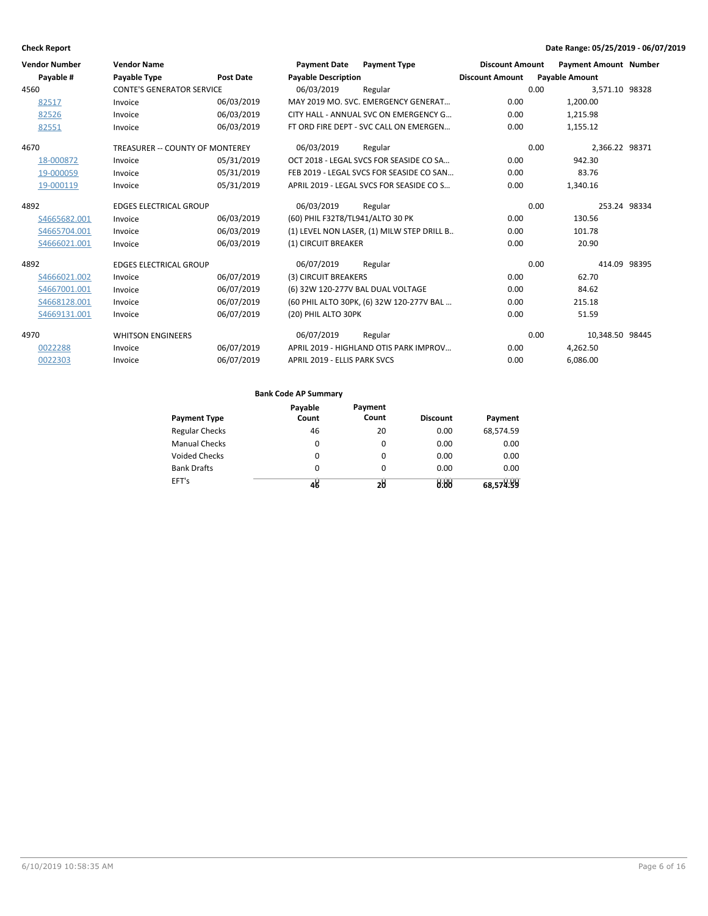| <b>Vendor Number</b> | <b>Vendor Name</b>               |                  | <b>Payment Date</b>               | <b>Payment Type</b>                        | <b>Discount Amount</b> | <b>Payment Amount Number</b> |              |
|----------------------|----------------------------------|------------------|-----------------------------------|--------------------------------------------|------------------------|------------------------------|--------------|
| Payable #            | <b>Payable Type</b>              | <b>Post Date</b> | <b>Pavable Description</b>        |                                            | <b>Discount Amount</b> | <b>Pavable Amount</b>        |              |
| 4560                 | <b>CONTE'S GENERATOR SERVICE</b> |                  | 06/03/2019                        | Regular                                    |                        | 0.00<br>3,571.10 98328       |              |
| 82517                | Invoice                          | 06/03/2019       |                                   | MAY 2019 MO. SVC. EMERGENCY GENERAT        | 0.00                   | 1,200.00                     |              |
| 82526                | Invoice                          | 06/03/2019       |                                   | CITY HALL - ANNUAL SVC ON EMERGENCY G      | 0.00                   | 1,215.98                     |              |
| 82551                | Invoice                          | 06/03/2019       |                                   | FT ORD FIRE DEPT - SVC CALL ON EMERGEN     | 0.00                   | 1,155.12                     |              |
| 4670                 | TREASURER -- COUNTY OF MONTEREY  |                  | 06/03/2019                        | Regular                                    |                        | 0.00<br>2.366.22 98371       |              |
| 18-000872            | Invoice                          | 05/31/2019       |                                   | OCT 2018 - LEGAL SVCS FOR SEASIDE CO SA    | 0.00                   | 942.30                       |              |
| 19-000059            | Invoice                          | 05/31/2019       |                                   | FEB 2019 - LEGAL SVCS FOR SEASIDE CO SAN   | 0.00                   | 83.76                        |              |
| 19-000119            | Invoice                          | 05/31/2019       |                                   | APRIL 2019 - LEGAL SVCS FOR SEASIDE CO S   | 0.00                   | 1,340.16                     |              |
| 4892                 | <b>EDGES ELECTRICAL GROUP</b>    |                  | 06/03/2019                        | Regular                                    |                        | 0.00                         | 253.24 98334 |
| S4665682.001         | Invoice                          | 06/03/2019       | (60) PHIL F32T8/TL941/ALTO 30 PK  |                                            | 0.00                   | 130.56                       |              |
| S4665704.001         | Invoice                          | 06/03/2019       |                                   | (1) LEVEL NON LASER, (1) MILW STEP DRILL B | 0.00                   | 101.78                       |              |
| S4666021.001         | Invoice                          | 06/03/2019       | (1) CIRCUIT BREAKER               |                                            | 0.00                   | 20.90                        |              |
| 4892                 | <b>EDGES ELECTRICAL GROUP</b>    |                  | 06/07/2019                        | Regular                                    |                        | 0.00                         | 414.09 98395 |
| S4666021.002         | Invoice                          | 06/07/2019       | (3) CIRCUIT BREAKERS              |                                            | 0.00                   | 62.70                        |              |
| S4667001.001         | Invoice                          | 06/07/2019       | (6) 32W 120-277V BAL DUAL VOLTAGE |                                            | 0.00                   | 84.62                        |              |
| S4668128.001         | Invoice                          | 06/07/2019       |                                   | (60 PHIL ALTO 30PK, (6) 32W 120-277V BAL   | 0.00                   | 215.18                       |              |
| S4669131.001         | Invoice                          | 06/07/2019       | (20) PHIL ALTO 30PK               |                                            | 0.00                   | 51.59                        |              |
| 4970                 | <b>WHITSON ENGINEERS</b>         |                  | 06/07/2019                        | Regular                                    |                        | 0.00<br>10,348.50 98445      |              |
| 0022288              | Invoice                          | 06/07/2019       |                                   | APRIL 2019 - HIGHLAND OTIS PARK IMPROV     | 0.00                   | 4,262.50                     |              |
| 0022303              | Invoice                          | 06/07/2019       | APRIL 2019 - ELLIS PARK SVCS      |                                            | 0.00                   | 6,086.00                     |              |

|                       | Payable | Payment  |                 |           |
|-----------------------|---------|----------|-----------------|-----------|
| <b>Payment Type</b>   | Count   | Count    | <b>Discount</b> | Payment   |
| <b>Regular Checks</b> | 46      | 20       | 0.00            | 68,574.59 |
| <b>Manual Checks</b>  | 0       | 0        | 0.00            | 0.00      |
| <b>Voided Checks</b>  | 0       | 0        | 0.00            | 0.00      |
| <b>Bank Drafts</b>    | 0       | $\Omega$ | 0.00            | 0.00      |
| EFT's                 | 48      | 28       | 0.00            | 68,574.59 |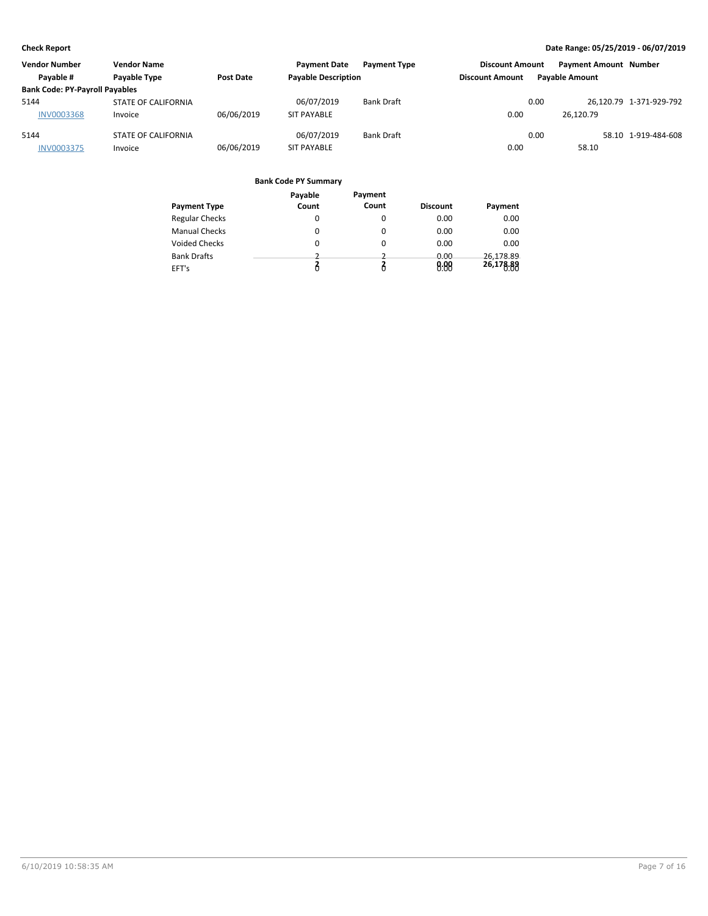| <b>Vendor Number</b>                  | <b>Vendor Name</b>  |                  | <b>Payment Date</b>        | <b>Payment Type</b> | <b>Discount Amount</b> |      | <b>Payment Amount Number</b> |                         |
|---------------------------------------|---------------------|------------------|----------------------------|---------------------|------------------------|------|------------------------------|-------------------------|
| Payable #                             | Payable Type        | <b>Post Date</b> | <b>Payable Description</b> |                     | <b>Discount Amount</b> |      | <b>Payable Amount</b>        |                         |
| <b>Bank Code: PY-Payroll Payables</b> |                     |                  |                            |                     |                        |      |                              |                         |
| 5144                                  | STATE OF CALIFORNIA |                  | 06/07/2019                 | <b>Bank Draft</b>   |                        | 0.00 |                              | 26.120.79 1-371-929-792 |
| <b>INV0003368</b>                     | Invoice             | 06/06/2019       | <b>SIT PAYABLE</b>         |                     | 0.00                   |      | 26.120.79                    |                         |
| 5144                                  | STATE OF CALIFORNIA |                  | 06/07/2019                 | <b>Bank Draft</b>   |                        | 0.00 |                              | 58.10 1-919-484-608     |
| <b>INV0003375</b>                     | Invoice             | 06/06/2019       | <b>SIT PAYABLE</b>         |                     | 0.00                   |      | 58.10                        |                         |

|                       | Payable | Payment |                 |           |
|-----------------------|---------|---------|-----------------|-----------|
| Payment Type          | Count   | Count   | <b>Discount</b> | Payment   |
| <b>Regular Checks</b> | 0       | 0       | 0.00            | 0.00      |
| <b>Manual Checks</b>  | 0       |         | 0.00            | 0.00      |
| Voided Checks         | 0       | 0       | 0.00            | 0.00      |
| <b>Bank Drafts</b>    |         |         | 0.00            | 26.178.89 |
| EFT's                 | Ô       |         | 0.00            | 26,178.88 |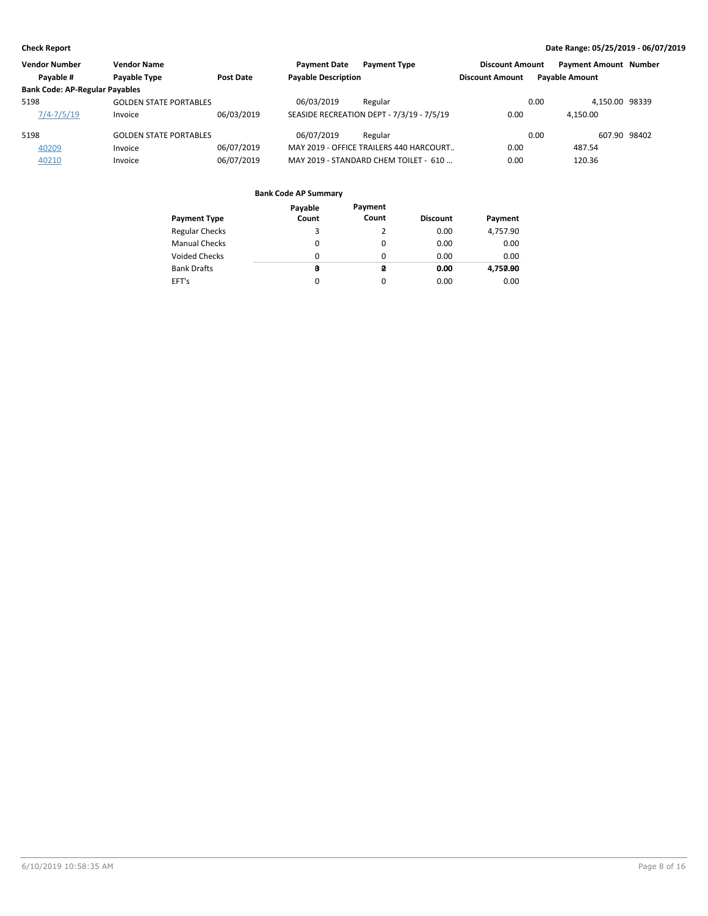| <b>Vendor Number</b>                  | <b>Vendor Name</b>            |            | <b>Payment Date</b>        | <b>Payment Type</b>                       | <b>Discount Amount</b> | <b>Payment Amount Number</b> |              |
|---------------------------------------|-------------------------------|------------|----------------------------|-------------------------------------------|------------------------|------------------------------|--------------|
| Payable #                             | Payable Type                  | Post Date  | <b>Payable Description</b> |                                           | <b>Discount Amount</b> | <b>Payable Amount</b>        |              |
| <b>Bank Code: AP-Regular Payables</b> |                               |            |                            |                                           |                        |                              |              |
| 5198                                  | <b>GOLDEN STATE PORTABLES</b> |            | 06/03/2019                 | Regular                                   |                        | 4.150.00 98339<br>0.00       |              |
| $7/4 - 7/5/19$                        | Invoice                       | 06/03/2019 |                            | SEASIDE RECREATION DEPT - 7/3/19 - 7/5/19 | 0.00                   | 4.150.00                     |              |
| 5198                                  | <b>GOLDEN STATE PORTABLES</b> |            | 06/07/2019                 | Regular                                   |                        | 0.00                         | 607.90 98402 |
| 40209                                 | Invoice                       | 06/07/2019 |                            | MAY 2019 - OFFICE TRAILERS 440 HARCOURT   | 0.00                   | 487.54                       |              |
| 40210                                 | Invoice                       | 06/07/2019 |                            | MAY 2019 - STANDARD CHEM TOILET - 610     | 0.00                   | 120.36                       |              |

|                       | Payable | Payment |                 |          |
|-----------------------|---------|---------|-----------------|----------|
| <b>Payment Type</b>   | Count   | Count   | <b>Discount</b> | Payment  |
| <b>Regular Checks</b> | 3       |         | 0.00            | 4,757.90 |
| <b>Manual Checks</b>  | 0       | 0       | 0.00            | 0.00     |
| <b>Voided Checks</b>  | 0       | 0       | 0.00            | 0.00     |
| <b>Bank Drafts</b>    | B       | ø       | 0.00            | 4,750.90 |
| EFT's                 | 0       | 0       | 0.00            | 0.00     |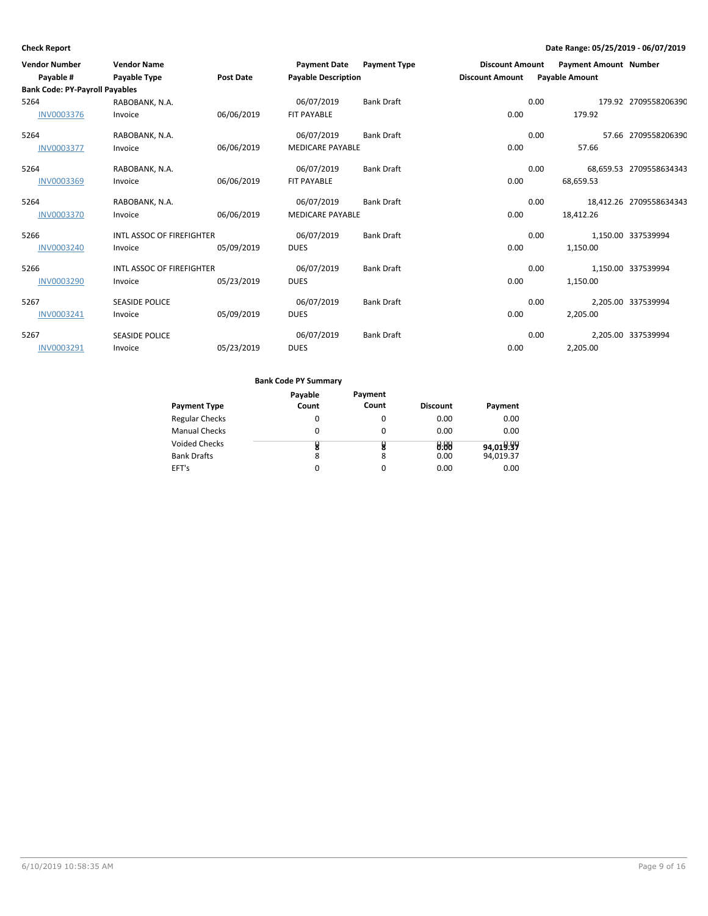| <b>Vendor Number</b>                  | <b>Vendor Name</b>        |                  | <b>Payment Date</b>        | <b>Payment Type</b> | <b>Discount Amount</b> |      | <b>Payment Amount Number</b> |                         |
|---------------------------------------|---------------------------|------------------|----------------------------|---------------------|------------------------|------|------------------------------|-------------------------|
| Payable #                             | <b>Payable Type</b>       | <b>Post Date</b> | <b>Payable Description</b> |                     | <b>Discount Amount</b> |      | <b>Payable Amount</b>        |                         |
| <b>Bank Code: PY-Payroll Payables</b> |                           |                  |                            |                     |                        |      |                              |                         |
| 5264                                  | RABOBANK, N.A.            |                  | 06/07/2019                 | <b>Bank Draft</b>   |                        | 0.00 |                              | 179.92 2709558206390    |
| <b>INV0003376</b>                     | Invoice                   | 06/06/2019       | FIT PAYABLE                |                     | 0.00                   |      | 179.92                       |                         |
| 5264                                  | RABOBANK, N.A.            |                  | 06/07/2019                 | <b>Bank Draft</b>   |                        | 0.00 |                              | 57.66 2709558206390     |
| <b>INV0003377</b>                     | Invoice                   | 06/06/2019       | <b>MEDICARE PAYABLE</b>    |                     | 0.00                   |      | 57.66                        |                         |
| 5264                                  | RABOBANK, N.A.            |                  | 06/07/2019                 | <b>Bank Draft</b>   |                        | 0.00 |                              | 68,659.53 2709558634343 |
| <b>INV0003369</b>                     | Invoice                   | 06/06/2019       | <b>FIT PAYABLE</b>         |                     | 0.00                   |      | 68,659.53                    |                         |
| 5264                                  | RABOBANK, N.A.            |                  | 06/07/2019                 | <b>Bank Draft</b>   |                        | 0.00 |                              | 18,412.26 2709558634343 |
| <b>INV0003370</b>                     | Invoice                   | 06/06/2019       | <b>MEDICARE PAYABLE</b>    |                     | 0.00                   |      | 18,412.26                    |                         |
| 5266                                  | INTL ASSOC OF FIREFIGHTER |                  | 06/07/2019                 | <b>Bank Draft</b>   |                        | 0.00 |                              | 1,150.00 337539994      |
| <b>INV0003240</b>                     | Invoice                   | 05/09/2019       | <b>DUES</b>                |                     | 0.00                   |      | 1,150.00                     |                         |
| 5266                                  | INTL ASSOC OF FIREFIGHTER |                  | 06/07/2019                 | <b>Bank Draft</b>   |                        | 0.00 |                              | 1,150.00 337539994      |
| <b>INV0003290</b>                     | Invoice                   | 05/23/2019       | <b>DUES</b>                |                     | 0.00                   |      | 1,150.00                     |                         |
| 5267                                  | <b>SEASIDE POLICE</b>     |                  | 06/07/2019                 | <b>Bank Draft</b>   |                        | 0.00 |                              | 2.205.00 337539994      |
| INV0003241                            | Invoice                   | 05/09/2019       | <b>DUES</b>                |                     | 0.00                   |      | 2,205.00                     |                         |
| 5267                                  | <b>SEASIDE POLICE</b>     |                  | 06/07/2019                 | <b>Bank Draft</b>   |                        | 0.00 |                              | 2,205.00 337539994      |
| <b>INV0003291</b>                     | Invoice                   | 05/23/2019       | <b>DUES</b>                |                     | 0.00                   |      | 2,205.00                     |                         |

|                       | Payable | Payment  |                 |           |
|-----------------------|---------|----------|-----------------|-----------|
| <b>Payment Type</b>   | Count   | Count    | <b>Discount</b> | Payment   |
| <b>Regular Checks</b> |         | 0        | 0.00            | 0.00      |
| <b>Manual Checks</b>  | 0       | 0        | 0.00            | 0.00      |
| <b>Voided Checks</b>  | 8       | 8        | 0.00            | 94,019.99 |
| <b>Bank Drafts</b>    | 8       | 8        | 0.00            | 94,019.37 |
| EFT's                 |         | $\Omega$ | 0.00            | 0.00      |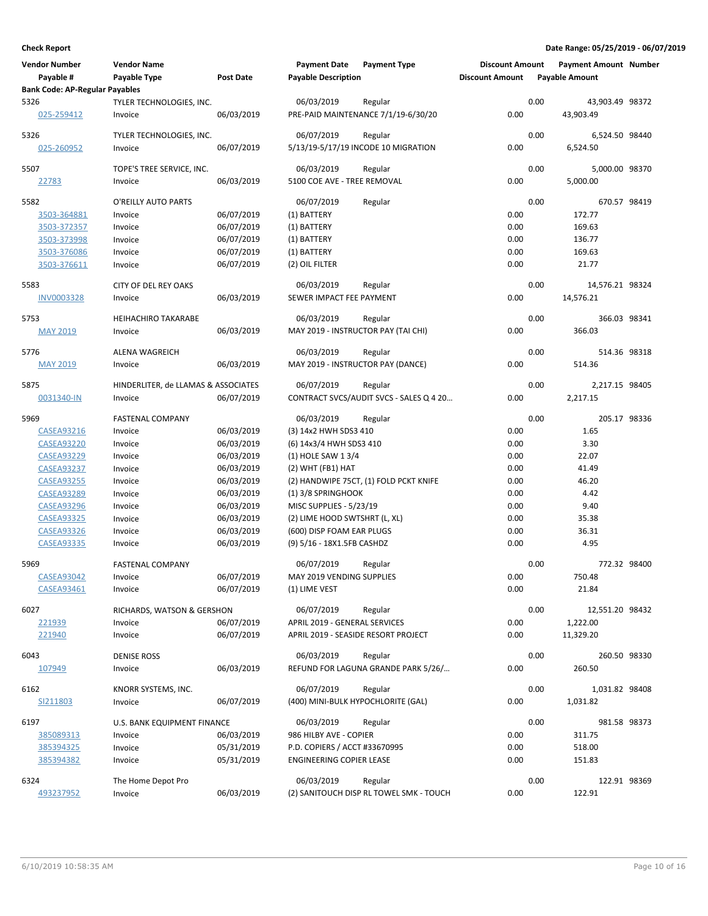| <b>Vendor Number</b><br>Payable #     | <b>Vendor Name</b><br>Payable Type  | Post Date  | <b>Payment Date</b><br><b>Payable Description</b> | <b>Payment Type</b>                            | <b>Discount Amount</b><br><b>Discount Amount</b> |      | <b>Payment Amount Number</b><br><b>Payable Amount</b> |  |
|---------------------------------------|-------------------------------------|------------|---------------------------------------------------|------------------------------------------------|--------------------------------------------------|------|-------------------------------------------------------|--|
| <b>Bank Code: AP-Regular Payables</b> |                                     |            |                                                   |                                                |                                                  |      |                                                       |  |
| 5326<br>025-259412                    | TYLER TECHNOLOGIES, INC.<br>Invoice | 06/03/2019 | 06/03/2019                                        | Regular<br>PRE-PAID MAINTENANCE 7/1/19-6/30/20 | 0.00                                             | 0.00 | 43,903.49 98372<br>43,903.49                          |  |
| 5326                                  | TYLER TECHNOLOGIES, INC.            |            | 06/07/2019                                        | Regular                                        |                                                  | 0.00 | 6,524.50 98440                                        |  |
| 025-260952                            | Invoice                             | 06/07/2019 |                                                   | 5/13/19-5/17/19 INCODE 10 MIGRATION            | 0.00                                             |      | 6,524.50                                              |  |
| 5507                                  | TOPE'S TREE SERVICE, INC.           |            | 06/03/2019                                        | Regular                                        |                                                  | 0.00 | 5,000.00 98370                                        |  |
| 22783                                 | Invoice                             | 06/03/2019 | 5100 COE AVE - TREE REMOVAL                       |                                                | 0.00                                             |      | 5,000.00                                              |  |
| 5582                                  | O'REILLY AUTO PARTS                 |            | 06/07/2019                                        | Regular                                        |                                                  | 0.00 | 670.57 98419                                          |  |
| 3503-364881                           | Invoice                             | 06/07/2019 | (1) BATTERY                                       |                                                | 0.00                                             |      | 172.77                                                |  |
| 3503-372357                           | Invoice                             | 06/07/2019 | (1) BATTERY                                       |                                                | 0.00                                             |      | 169.63                                                |  |
| 3503-373998                           | Invoice                             | 06/07/2019 | (1) BATTERY                                       |                                                | 0.00                                             |      | 136.77                                                |  |
| 3503-376086                           | Invoice                             | 06/07/2019 | (1) BATTERY                                       |                                                | 0.00                                             |      | 169.63                                                |  |
|                                       |                                     |            |                                                   |                                                |                                                  |      |                                                       |  |
| 3503-376611                           | Invoice                             | 06/07/2019 | (2) OIL FILTER                                    |                                                | 0.00                                             |      | 21.77                                                 |  |
| 5583                                  | CITY OF DEL REY OAKS                |            | 06/03/2019                                        | Regular                                        |                                                  | 0.00 | 14,576.21 98324                                       |  |
| <b>INV0003328</b>                     | Invoice                             | 06/03/2019 | SEWER IMPACT FEE PAYMENT                          |                                                | 0.00                                             |      | 14,576.21                                             |  |
| 5753                                  | <b>HEIHACHIRO TAKARABE</b>          |            | 06/03/2019                                        | Regular                                        |                                                  | 0.00 | 366.03 98341                                          |  |
| <b>MAY 2019</b>                       | Invoice                             | 06/03/2019 |                                                   | MAY 2019 - INSTRUCTOR PAY (TAI CHI)            | 0.00                                             |      | 366.03                                                |  |
| 5776                                  | <b>ALENA WAGREICH</b>               |            | 06/03/2019                                        | Regular                                        |                                                  | 0.00 | 514.36 98318                                          |  |
| <b>MAY 2019</b>                       | Invoice                             | 06/03/2019 | MAY 2019 - INSTRUCTOR PAY (DANCE)                 |                                                | 0.00                                             |      | 514.36                                                |  |
|                                       |                                     |            |                                                   |                                                |                                                  |      |                                                       |  |
| 5875                                  | HINDERLITER, de LLAMAS & ASSOCIATES |            | 06/07/2019                                        | Regular                                        |                                                  | 0.00 | 2,217.15 98405                                        |  |
| 0031340-IN                            | Invoice                             | 06/07/2019 |                                                   | CONTRACT SVCS/AUDIT SVCS - SALES Q 4 20        | 0.00                                             |      | 2,217.15                                              |  |
| 5969                                  | <b>FASTENAL COMPANY</b>             |            | 06/03/2019                                        | Regular                                        |                                                  | 0.00 | 205.17 98336                                          |  |
| <b>CASEA93216</b>                     | Invoice                             | 06/03/2019 | (3) 14x2 HWH SDS3 410                             |                                                | 0.00                                             |      | 1.65                                                  |  |
| <b>CASEA93220</b>                     | Invoice                             | 06/03/2019 | (6) 14x3/4 HWH SDS3 410                           |                                                | 0.00                                             |      | 3.30                                                  |  |
| <b>CASEA93229</b>                     | Invoice                             | 06/03/2019 | (1) HOLE SAW 1 3/4                                |                                                | 0.00                                             |      | 22.07                                                 |  |
| <b>CASEA93237</b>                     | Invoice                             | 06/03/2019 | $(2)$ WHT (FB1) HAT                               |                                                | 0.00                                             |      | 41.49                                                 |  |
| <b>CASEA93255</b>                     | Invoice                             | 06/03/2019 |                                                   | (2) HANDWIPE 75CT, (1) FOLD PCKT KNIFE         | 0.00                                             |      | 46.20                                                 |  |
| <b>CASEA93289</b>                     | Invoice                             | 06/03/2019 | (1) 3/8 SPRINGHOOK                                |                                                | 0.00                                             |      | 4.42                                                  |  |
|                                       |                                     |            |                                                   |                                                | 0.00                                             |      |                                                       |  |
| <b>CASEA93296</b>                     | Invoice                             | 06/03/2019 | MISC SUPPLIES - 5/23/19                           |                                                |                                                  |      | 9.40                                                  |  |
| <b>CASEA93325</b>                     | Invoice                             | 06/03/2019 | (2) LIME HOOD SWTSHRT (L, XL)                     |                                                | 0.00                                             |      | 35.38                                                 |  |
| <b>CASEA93326</b>                     | Invoice                             | 06/03/2019 | (600) DISP FOAM EAR PLUGS                         |                                                | 0.00                                             |      | 36.31                                                 |  |
| <b>CASEA93335</b>                     | Invoice                             | 06/03/2019 | (9) 5/16 - 18X1.5FB CASHDZ                        |                                                | 0.00                                             |      | 4.95                                                  |  |
| 5969                                  | <b>FASTENAL COMPANY</b>             |            | 06/07/2019                                        | Regular                                        |                                                  | 0.00 | 772.32 98400                                          |  |
| <b>CASEA93042</b>                     | Invoice                             | 06/07/2019 | MAY 2019 VENDING SUPPLIES                         |                                                | 0.00                                             |      | 750.48                                                |  |
| CASEA93461                            | Invoice                             | 06/07/2019 | (1) LIME VEST                                     |                                                | 0.00                                             |      | 21.84                                                 |  |
| 6027                                  | RICHARDS, WATSON & GERSHON          |            | 06/07/2019                                        | Regular                                        |                                                  | 0.00 | 12,551.20 98432                                       |  |
| 221939                                | Invoice                             | 06/07/2019 | APRIL 2019 - GENERAL SERVICES                     |                                                | 0.00                                             |      | 1,222.00                                              |  |
| 221940                                | Invoice                             | 06/07/2019 |                                                   | APRIL 2019 - SEASIDE RESORT PROJECT            | 0.00                                             |      | 11,329.20                                             |  |
|                                       |                                     |            |                                                   |                                                |                                                  |      |                                                       |  |
| 6043<br>107949                        | <b>DENISE ROSS</b><br>Invoice       | 06/03/2019 | 06/03/2019                                        | Regular<br>REFUND FOR LAGUNA GRANDE PARK 5/26/ | 0.00                                             | 0.00 | 260.50 98330<br>260.50                                |  |
|                                       |                                     |            |                                                   |                                                |                                                  |      |                                                       |  |
| 6162                                  | KNORR SYSTEMS, INC.                 |            | 06/07/2019                                        | Regular                                        |                                                  | 0.00 | 1,031.82 98408                                        |  |
| SI211803                              | Invoice                             | 06/07/2019 |                                                   | (400) MINI-BULK HYPOCHLORITE (GAL)             | 0.00                                             |      | 1,031.82                                              |  |
| 6197                                  | U.S. BANK EQUIPMENT FINANCE         |            | 06/03/2019                                        | Regular                                        |                                                  | 0.00 | 981.58 98373                                          |  |
| 385089313                             | Invoice                             | 06/03/2019 | 986 HILBY AVE - COPIER                            |                                                | 0.00                                             |      | 311.75                                                |  |
| 385394325                             | Invoice                             | 05/31/2019 | P.D. COPIERS / ACCT #33670995                     |                                                | 0.00                                             |      | 518.00                                                |  |
| 385394382                             | Invoice                             | 05/31/2019 | <b>ENGINEERING COPIER LEASE</b>                   |                                                | 0.00                                             |      | 151.83                                                |  |
| 6324                                  | The Home Depot Pro                  |            | 06/03/2019                                        | Regular                                        |                                                  | 0.00 | 122.91 98369                                          |  |
| 493237952                             | Invoice                             | 06/03/2019 |                                                   | (2) SANITOUCH DISP RL TOWEL SMK - TOUCH        | 0.00                                             |      | 122.91                                                |  |
|                                       |                                     |            |                                                   |                                                |                                                  |      |                                                       |  |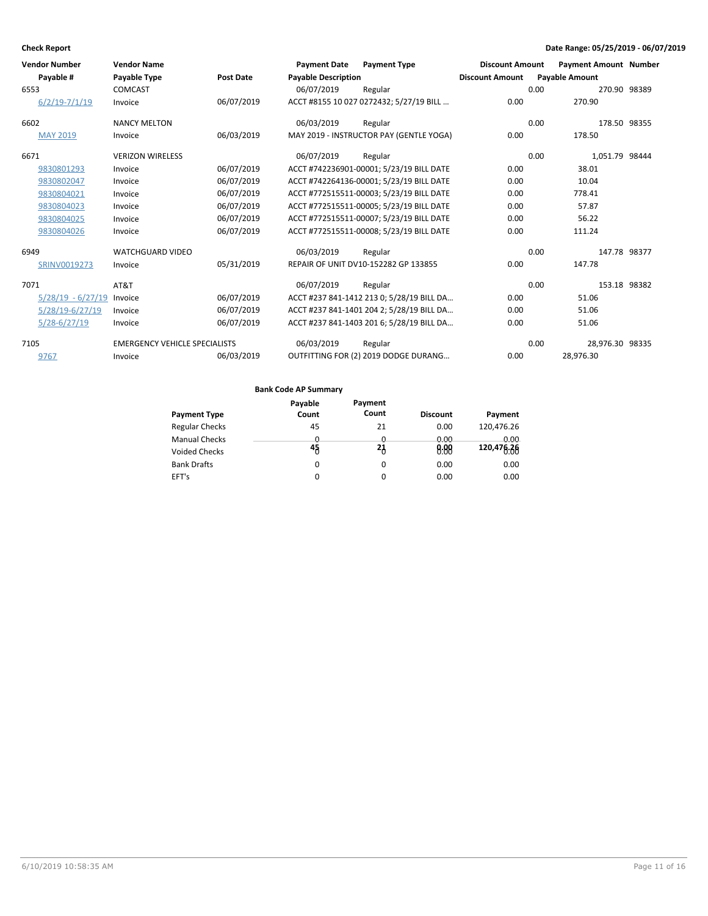| <b>Vendor Number</b> | <b>Vendor Name</b>                   |                  | <b>Payment Date</b>        | <b>Payment Type</b>                       | <b>Discount Amount</b> |      | <b>Payment Amount Number</b> |  |
|----------------------|--------------------------------------|------------------|----------------------------|-------------------------------------------|------------------------|------|------------------------------|--|
| Payable #            | <b>Payable Type</b>                  | <b>Post Date</b> | <b>Payable Description</b> |                                           | <b>Discount Amount</b> |      | <b>Payable Amount</b>        |  |
| 6553                 | <b>COMCAST</b>                       |                  | 06/07/2019                 | Regular                                   |                        | 0.00 | 270.90 98389                 |  |
| $6/2/19 - 7/1/19$    | Invoice                              | 06/07/2019       |                            | ACCT #8155 10 027 0272432; 5/27/19 BILL   | 0.00                   |      | 270.90                       |  |
| 6602                 | <b>NANCY MELTON</b>                  |                  | 06/03/2019                 | Regular                                   |                        | 0.00 | 178.50 98355                 |  |
| <b>MAY 2019</b>      | Invoice                              | 06/03/2019       |                            | MAY 2019 - INSTRUCTOR PAY (GENTLE YOGA)   | 0.00                   |      | 178.50                       |  |
| 6671                 | <b>VERIZON WIRELESS</b>              |                  | 06/07/2019                 | Regular                                   |                        | 0.00 | 1.051.79 98444               |  |
| 9830801293           | Invoice                              | 06/07/2019       |                            | ACCT #742236901-00001; 5/23/19 BILL DATE  | 0.00                   |      | 38.01                        |  |
| 9830802047           | Invoice                              | 06/07/2019       |                            | ACCT #742264136-00001; 5/23/19 BILL DATE  | 0.00                   |      | 10.04                        |  |
| 9830804021           | Invoice                              | 06/07/2019       |                            | ACCT #772515511-00003; 5/23/19 BILL DATE  | 0.00                   |      | 778.41                       |  |
| 9830804023           | Invoice                              | 06/07/2019       |                            | ACCT #772515511-00005; 5/23/19 BILL DATE  | 0.00                   |      | 57.87                        |  |
| 9830804025           | Invoice                              | 06/07/2019       |                            | ACCT #772515511-00007; 5/23/19 BILL DATE  | 0.00                   |      | 56.22                        |  |
| 9830804026           | Invoice                              | 06/07/2019       |                            | ACCT #772515511-00008; 5/23/19 BILL DATE  | 0.00                   |      | 111.24                       |  |
| 6949                 | <b>WATCHGUARD VIDEO</b>              |                  | 06/03/2019                 | Regular                                   |                        | 0.00 | 147.78 98377                 |  |
| SRINV0019273         | Invoice                              | 05/31/2019       |                            | REPAIR OF UNIT DV10-152282 GP 133855      | 0.00                   |      | 147.78                       |  |
| 7071                 | AT&T                                 |                  | 06/07/2019                 | Regular                                   |                        | 0.00 | 153.18 98382                 |  |
| $5/28/19 - 6/27/19$  | Invoice                              | 06/07/2019       |                            | ACCT #237 841-1412 213 0; 5/28/19 BILL DA | 0.00                   |      | 51.06                        |  |
| 5/28/19-6/27/19      | Invoice                              | 06/07/2019       |                            | ACCT #237 841-1401 204 2; 5/28/19 BILL DA | 0.00                   |      | 51.06                        |  |
| $5/28 - 6/27/19$     | Invoice                              | 06/07/2019       |                            | ACCT #237 841-1403 201 6; 5/28/19 BILL DA | 0.00                   |      | 51.06                        |  |
| 7105                 | <b>EMERGENCY VEHICLE SPECIALISTS</b> |                  | 06/03/2019                 | Regular                                   |                        | 0.00 | 28,976.30 98335              |  |
| 9767                 | Invoice                              | 06/03/2019       |                            | OUTFITTING FOR (2) 2019 DODGE DURANG      | 0.00                   |      | 28,976.30                    |  |

|                       | Payable | Payment  |                 |            |
|-----------------------|---------|----------|-----------------|------------|
| <b>Payment Type</b>   | Count   | Count    | <b>Discount</b> | Payment    |
| <b>Regular Checks</b> | 45      | 21       | 0.00            | 120,476.26 |
| <b>Manual Checks</b>  | 0       | Ü        | 0.00            | 0.00       |
| <b>Voided Checks</b>  | 45      | 21       | 0.88            | 120,476.26 |
| <b>Bank Drafts</b>    | 0       | $\Omega$ | 0.00            | 0.00       |
| EFT's                 | 0       | $\Omega$ | 0.00            | 0.00       |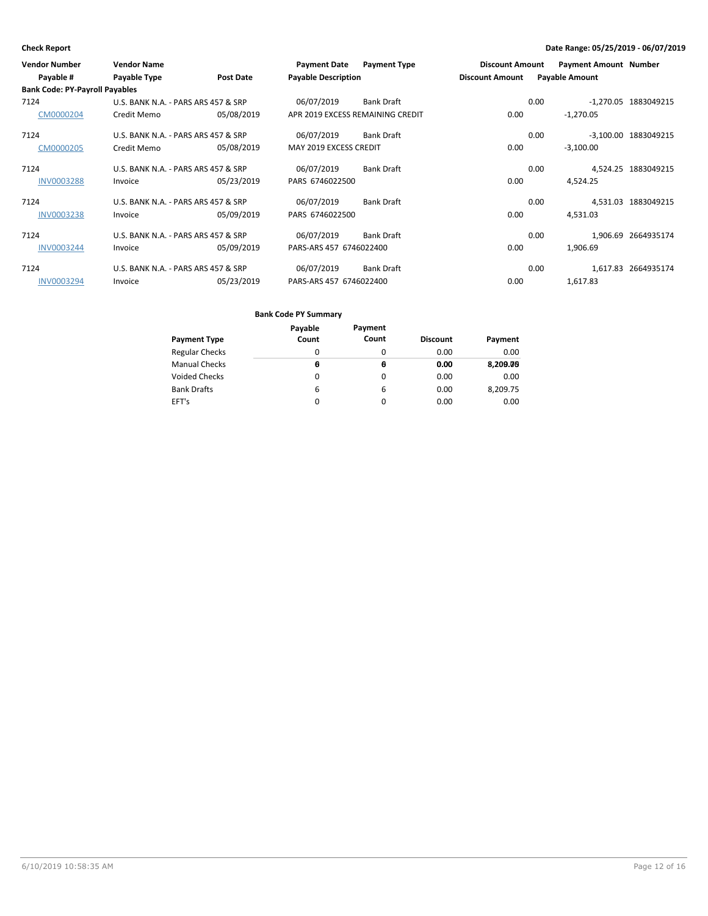| <b>Vendor Number</b>                  | <b>Vendor Name</b>                  |                  | <b>Payment Date</b>              | <b>Payment Type</b> | <b>Discount Amount</b> |      | <b>Payment Amount Number</b> |                      |
|---------------------------------------|-------------------------------------|------------------|----------------------------------|---------------------|------------------------|------|------------------------------|----------------------|
| Payable #                             | Payable Type                        | <b>Post Date</b> | <b>Payable Description</b>       |                     | <b>Discount Amount</b> |      | <b>Payable Amount</b>        |                      |
| <b>Bank Code: PY-Payroll Payables</b> |                                     |                  |                                  |                     |                        |      |                              |                      |
| 7124                                  | U.S. BANK N.A. - PARS ARS 457 & SRP |                  | 06/07/2019                       | <b>Bank Draft</b>   |                        | 0.00 |                              | -1,270.05 1883049215 |
| CM0000204                             | Credit Memo                         | 05/08/2019       | APR 2019 EXCESS REMAINING CREDIT |                     | 0.00                   |      | $-1,270.05$                  |                      |
| 7124                                  | U.S. BANK N.A. - PARS ARS 457 & SRP |                  | 06/07/2019                       | Bank Draft          |                        | 0.00 |                              | -3,100.00 1883049215 |
| CM0000205                             | Credit Memo                         | 05/08/2019       | MAY 2019 EXCESS CREDIT           |                     | 0.00                   |      | $-3,100.00$                  |                      |
| 7124                                  | U.S. BANK N.A. - PARS ARS 457 & SRP |                  | 06/07/2019                       | Bank Draft          |                        | 0.00 |                              | 4,524.25 1883049215  |
| <b>INV0003288</b>                     | Invoice                             | 05/23/2019       | PARS 6746022500                  |                     | 0.00                   |      | 4.524.25                     |                      |
| 7124                                  | U.S. BANK N.A. - PARS ARS 457 & SRP |                  | 06/07/2019                       | <b>Bank Draft</b>   |                        | 0.00 |                              | 4,531.03 1883049215  |
| <b>INV0003238</b>                     | Invoice                             | 05/09/2019       | PARS 6746022500                  |                     | 0.00                   |      | 4,531.03                     |                      |
| 7124                                  | U.S. BANK N.A. - PARS ARS 457 & SRP |                  | 06/07/2019                       | Bank Draft          |                        | 0.00 |                              | 1,906.69 2664935174  |
| <b>INV0003244</b>                     | Invoice                             | 05/09/2019       | PARS-ARS 457 6746022400          |                     | 0.00                   |      | 1,906.69                     |                      |
| 7124                                  | U.S. BANK N.A. - PARS ARS 457 & SRP |                  | 06/07/2019                       | Bank Draft          |                        | 0.00 |                              | 1,617.83 2664935174  |
| <b>INV0003294</b>                     | Invoice                             | 05/23/2019       | PARS-ARS 457 6746022400          |                     | 0.00                   |      | 1,617.83                     |                      |

| Payment Type          | Payable<br>Count | Payment<br>Count | <b>Discount</b> | Payment  |
|-----------------------|------------------|------------------|-----------------|----------|
| <b>Regular Checks</b> | 0                | 0                | 0.00            | 0.00     |
| Manual Checks         | Θ                | θ                | 0.00            | 8,209.09 |
| Voided Checks         | 0                | 0                | 0.00            | 0.00     |
| Bank Drafts           | 6                | 6                | 0.00            | 8,209.75 |
| EFT's                 | 0                | 0                | 0.00            | 0.00     |
|                       |                  |                  |                 |          |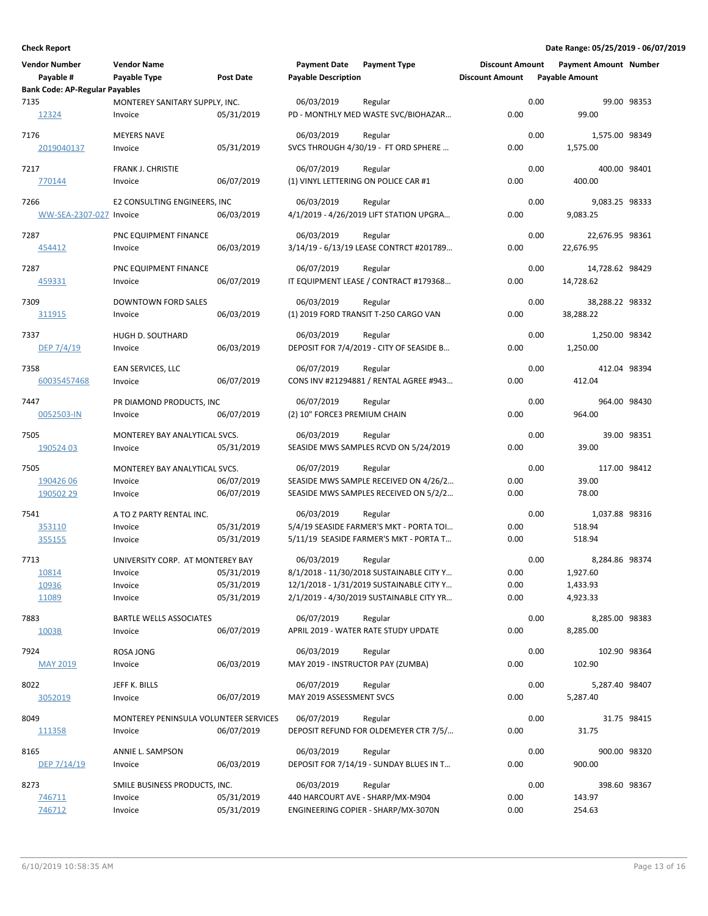| <b>Vendor Number</b>                  | <b>Vendor Name</b>                    |                  | <b>Payment Date</b>                  | <b>Payment Type</b>                      | <b>Discount Amount</b> |      | <b>Payment Amount Number</b> |             |
|---------------------------------------|---------------------------------------|------------------|--------------------------------------|------------------------------------------|------------------------|------|------------------------------|-------------|
| Payable #                             | Payable Type                          | <b>Post Date</b> | <b>Payable Description</b>           |                                          | <b>Discount Amount</b> |      | <b>Payable Amount</b>        |             |
| <b>Bank Code: AP-Regular Payables</b> |                                       |                  |                                      |                                          |                        |      |                              |             |
| 7135                                  | MONTEREY SANITARY SUPPLY, INC.        |                  | 06/03/2019                           | Regular                                  |                        | 0.00 |                              | 99.00 98353 |
| 12324                                 | Invoice                               | 05/31/2019       |                                      | PD - MONTHLY MED WASTE SVC/BIOHAZAR      | 0.00                   |      | 99.00                        |             |
|                                       |                                       |                  |                                      |                                          |                        |      |                              |             |
| 7176                                  | <b>MEYERS NAVE</b>                    |                  | 06/03/2019                           | Regular                                  |                        | 0.00 | 1,575.00 98349               |             |
| 2019040137                            | Invoice                               | 05/31/2019       |                                      | SVCS THROUGH 4/30/19 - FT ORD SPHERE     | 0.00                   |      | 1,575.00                     |             |
|                                       |                                       |                  |                                      |                                          |                        |      |                              |             |
| 7217                                  | FRANK J. CHRISTIE                     |                  | 06/07/2019                           | Regular                                  |                        | 0.00 | 400.00 98401                 |             |
| 770144                                | Invoice                               | 06/07/2019       | (1) VINYL LETTERING ON POLICE CAR #1 |                                          | 0.00                   |      | 400.00                       |             |
|                                       |                                       |                  |                                      |                                          |                        |      |                              |             |
| 7266                                  | E2 CONSULTING ENGINEERS, INC          |                  | 06/03/2019                           | Regular                                  |                        | 0.00 | 9,083.25 98333               |             |
| WW-SEA-2307-027 Invoice               |                                       | 06/03/2019       |                                      | 4/1/2019 - 4/26/2019 LIFT STATION UPGRA  | 0.00                   |      | 9,083.25                     |             |
|                                       |                                       |                  |                                      |                                          |                        |      |                              |             |
| 7287                                  | PNC EQUIPMENT FINANCE                 |                  | 06/03/2019                           | Regular                                  |                        | 0.00 | 22,676.95 98361              |             |
| 454412                                | Invoice                               | 06/03/2019       |                                      | 3/14/19 - 6/13/19 LEASE CONTRCT #201789  | 0.00                   |      | 22,676.95                    |             |
|                                       |                                       |                  |                                      |                                          |                        |      |                              |             |
| 7287                                  | PNC EQUIPMENT FINANCE                 |                  | 06/07/2019                           | Regular                                  |                        | 0.00 | 14,728.62 98429              |             |
| 459331                                | Invoice                               | 06/07/2019       |                                      | IT EQUIPMENT LEASE / CONTRACT #179368    | 0.00                   |      | 14,728.62                    |             |
|                                       |                                       |                  |                                      |                                          |                        |      |                              |             |
| 7309                                  | <b>DOWNTOWN FORD SALES</b>            |                  | 06/03/2019                           | Regular                                  |                        | 0.00 | 38,288.22 98332              |             |
| 311915                                | Invoice                               | 06/03/2019       |                                      | (1) 2019 FORD TRANSIT T-250 CARGO VAN    | 0.00                   |      | 38,288.22                    |             |
|                                       |                                       |                  |                                      |                                          |                        |      |                              |             |
| 7337                                  | HUGH D. SOUTHARD                      |                  | 06/03/2019                           | Regular                                  |                        | 0.00 | 1,250.00 98342               |             |
| DEP $7/4/19$                          | Invoice                               | 06/03/2019       |                                      | DEPOSIT FOR 7/4/2019 - CITY OF SEASIDE B | 0.00                   |      | 1,250.00                     |             |
|                                       |                                       |                  |                                      |                                          |                        |      |                              |             |
| 7358                                  | EAN SERVICES, LLC                     |                  | 06/07/2019                           | Regular                                  |                        | 0.00 | 412.04 98394                 |             |
| 60035457468                           | Invoice                               | 06/07/2019       |                                      | CONS INV #21294881 / RENTAL AGREE #943   | 0.00                   |      | 412.04                       |             |
|                                       |                                       |                  |                                      |                                          |                        |      |                              |             |
| 7447                                  | PR DIAMOND PRODUCTS, INC              |                  | 06/07/2019                           | Regular                                  |                        | 0.00 | 964.00 98430                 |             |
| 0052503-IN                            | Invoice                               | 06/07/2019       | (2) 10" FORCE3 PREMIUM CHAIN         |                                          | 0.00                   |      | 964.00                       |             |
| 7505                                  | MONTEREY BAY ANALYTICAL SVCS.         |                  | 06/03/2019                           | Regular                                  |                        | 0.00 |                              | 39.00 98351 |
|                                       |                                       |                  |                                      |                                          | 0.00                   |      |                              |             |
| 190524 03                             | Invoice                               | 05/31/2019       |                                      | SEASIDE MWS SAMPLES RCVD ON 5/24/2019    |                        |      | 39.00                        |             |
| 7505                                  | MONTEREY BAY ANALYTICAL SVCS.         |                  | 06/07/2019                           | Regular                                  |                        | 0.00 | 117.00 98412                 |             |
| 190426 06                             | Invoice                               | 06/07/2019       |                                      | SEASIDE MWS SAMPLE RECEIVED ON 4/26/2    | 0.00                   |      | 39.00                        |             |
| 190502 29                             |                                       |                  |                                      |                                          | 0.00                   |      | 78.00                        |             |
|                                       | Invoice                               | 06/07/2019       |                                      | SEASIDE MWS SAMPLES RECEIVED ON 5/2/2    |                        |      |                              |             |
| 7541                                  | A TO Z PARTY RENTAL INC.              |                  | 06/03/2019                           | Regular                                  |                        | 0.00 | 1,037.88 98316               |             |
| 353110                                | Invoice                               | 05/31/2019       |                                      | 5/4/19 SEASIDE FARMER'S MKT - PORTA TOI  | 0.00                   |      | 518.94                       |             |
|                                       | Invoice                               | 05/31/2019       |                                      | 5/11/19 SEASIDE FARMER'S MKT - PORTA T   | 0.00                   |      | 518.94                       |             |
| 355155                                |                                       |                  |                                      |                                          |                        |      |                              |             |
| 7713                                  | UNIVERSITY CORP. AT MONTEREY BAY      |                  | 06/03/2019                           | Regular                                  |                        | 0.00 | 8,284.86 98374               |             |
| 10814                                 | Invoice                               | 05/31/2019       |                                      | 8/1/2018 - 11/30/2018 SUSTAINABLE CITY Y | 0.00                   |      | 1,927.60                     |             |
| 10936                                 | Invoice                               | 05/31/2019       |                                      | 12/1/2018 - 1/31/2019 SUSTAINABLE CITY Y | 0.00                   |      | 1,433.93                     |             |
|                                       |                                       |                  |                                      |                                          |                        |      |                              |             |
| 11089                                 | Invoice                               | 05/31/2019       |                                      | 2/1/2019 - 4/30/2019 SUSTAINABLE CITY YR | 0.00                   |      | 4,923.33                     |             |
| 7883                                  | <b>BARTLE WELLS ASSOCIATES</b>        |                  | 06/07/2019                           | Regular                                  |                        | 0.00 | 8,285.00 98383               |             |
| 1003B                                 | Invoice                               | 06/07/2019       |                                      | APRIL 2019 - WATER RATE STUDY UPDATE     | 0.00                   |      | 8,285.00                     |             |
|                                       |                                       |                  |                                      |                                          |                        |      |                              |             |
| 7924                                  | <b>ROSA JONG</b>                      |                  | 06/03/2019                           | Regular                                  |                        | 0.00 | 102.90 98364                 |             |
| <b>MAY 2019</b>                       | Invoice                               | 06/03/2019       | MAY 2019 - INSTRUCTOR PAY (ZUMBA)    |                                          | 0.00                   |      | 102.90                       |             |
|                                       |                                       |                  |                                      |                                          |                        |      |                              |             |
| 8022                                  | JEFF K. BILLS                         |                  | 06/07/2019                           | Regular                                  |                        | 0.00 | 5,287.40 98407               |             |
| 3052019                               | Invoice                               | 06/07/2019       | MAY 2019 ASSESSMENT SVCS             |                                          | 0.00                   |      | 5,287.40                     |             |
|                                       |                                       |                  |                                      |                                          |                        |      |                              |             |
| 8049                                  | MONTEREY PENINSULA VOLUNTEER SERVICES |                  | 06/07/2019                           | Regular                                  |                        | 0.00 |                              | 31.75 98415 |
| 111358                                | Invoice                               | 06/07/2019       |                                      | DEPOSIT REFUND FOR OLDEMEYER CTR 7/5/    | 0.00                   |      | 31.75                        |             |
|                                       |                                       |                  |                                      |                                          |                        |      |                              |             |
| 8165                                  | ANNIE L. SAMPSON                      |                  | 06/03/2019                           | Regular                                  |                        | 0.00 | 900.00 98320                 |             |
| DEP $7/14/19$                         | Invoice                               | 06/03/2019       |                                      | DEPOSIT FOR 7/14/19 - SUNDAY BLUES IN T  | 0.00                   |      | 900.00                       |             |
|                                       |                                       |                  |                                      |                                          |                        |      |                              |             |
| 8273                                  | SMILE BUSINESS PRODUCTS, INC.         |                  | 06/03/2019                           | Regular                                  |                        | 0.00 | 398.60 98367                 |             |
| 746711                                | Invoice                               | 05/31/2019       | 440 HARCOURT AVE - SHARP/MX-M904     |                                          | 0.00                   |      | 143.97                       |             |
| 746712                                | Invoice                               | 05/31/2019       |                                      | ENGINEERING COPIER - SHARP/MX-3070N      | 0.00                   |      | 254.63                       |             |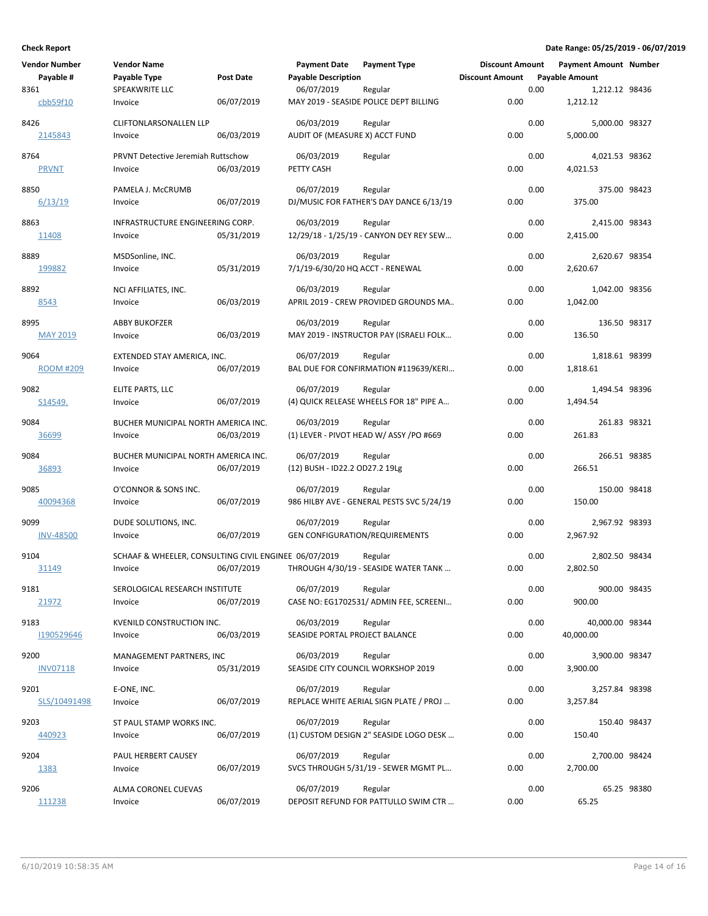| <b>Vendor Number</b><br>Payable #<br>8361 | <b>Vendor Name</b><br>Payable Type<br>SPEAKWRITE LLC             | <b>Post Date</b> | <b>Payment Date</b><br><b>Payable Description</b><br>06/07/2019 | <b>Payment Type</b><br>Regular                       | <b>Discount Amount</b><br><b>Discount Amount</b> | 0.00 | <b>Payment Amount Number</b><br><b>Payable Amount</b><br>1,212.12 98436 |             |
|-------------------------------------------|------------------------------------------------------------------|------------------|-----------------------------------------------------------------|------------------------------------------------------|--------------------------------------------------|------|-------------------------------------------------------------------------|-------------|
| cbb59f10                                  | Invoice                                                          | 06/07/2019       |                                                                 | MAY 2019 - SEASIDE POLICE DEPT BILLING               | 0.00                                             |      | 1,212.12                                                                |             |
| 8426<br>2145843                           | <b>CLIFTONLARSONALLEN LLP</b><br>Invoice                         | 06/03/2019       | 06/03/2019<br>AUDIT OF (MEASURE X) ACCT FUND                    | Regular                                              | 0.00                                             | 0.00 | 5,000.00 98327<br>5,000.00                                              |             |
| 8764<br><b>PRVNT</b>                      | PRVNT Detective Jeremiah Ruttschow<br>Invoice                    | 06/03/2019       | 06/03/2019<br>PETTY CASH                                        | Regular                                              | 0.00                                             | 0.00 | 4,021.53 98362<br>4,021.53                                              |             |
| 8850<br>6/13/19                           | PAMELA J. McCRUMB<br>Invoice                                     | 06/07/2019       | 06/07/2019                                                      | Regular<br>DJ/MUSIC FOR FATHER'S DAY DANCE 6/13/19   | 0.00                                             | 0.00 | 375.00 98423<br>375.00                                                  |             |
| 8863<br>11408                             | INFRASTRUCTURE ENGINEERING CORP.<br>Invoice                      | 05/31/2019       | 06/03/2019                                                      | Regular<br>12/29/18 - 1/25/19 - CANYON DEY REY SEW   | 0.00                                             | 0.00 | 2,415.00 98343<br>2,415.00                                              |             |
| 8889<br>199882                            | MSDSonline, INC.<br>Invoice                                      | 05/31/2019       | 06/03/2019<br>7/1/19-6/30/20 HQ ACCT - RENEWAL                  | Regular                                              | 0.00                                             | 0.00 | 2,620.67 98354<br>2,620.67                                              |             |
| 8892<br>8543                              | NCI AFFILIATES, INC.<br>Invoice                                  | 06/03/2019       | 06/03/2019                                                      | Regular<br>APRIL 2019 - CREW PROVIDED GROUNDS MA     | 0.00                                             | 0.00 | 1,042.00 98356<br>1,042.00                                              |             |
| 8995<br><b>MAY 2019</b>                   | <b>ABBY BUKOFZER</b><br>Invoice                                  | 06/03/2019       | 06/03/2019                                                      | Regular<br>MAY 2019 - INSTRUCTOR PAY (ISRAELI FOLK   | 0.00                                             | 0.00 | 136.50 98317<br>136.50                                                  |             |
| 9064<br><b>ROOM #209</b>                  | EXTENDED STAY AMERICA, INC.<br>Invoice                           | 06/07/2019       | 06/07/2019                                                      | Regular<br>BAL DUE FOR CONFIRMATION #119639/KERI     | 0.00                                             | 0.00 | 1,818.61 98399<br>1,818.61                                              |             |
| 9082<br>S <sub>14549</sub> .              | ELITE PARTS, LLC<br>Invoice                                      | 06/07/2019       | 06/07/2019                                                      | Regular<br>(4) QUICK RELEASE WHEELS FOR 18" PIPE A   | 0.00                                             | 0.00 | 1,494.54 98396<br>1,494.54                                              |             |
| 9084<br>36699                             | BUCHER MUNICIPAL NORTH AMERICA INC.<br>Invoice                   | 06/03/2019       | 06/03/2019                                                      | Regular<br>(1) LEVER - PIVOT HEAD W/ ASSY /PO #669   | 0.00                                             | 0.00 | 261.83 98321<br>261.83                                                  |             |
| 9084<br>36893                             | BUCHER MUNICIPAL NORTH AMERICA INC.<br>Invoice                   | 06/07/2019       | 06/07/2019<br>(12) BUSH - ID22.2 OD27.2 19Lg                    | Regular                                              | 0.00                                             | 0.00 | 266.51 98385<br>266.51                                                  |             |
| 9085<br>40094368                          | O'CONNOR & SONS INC.<br>Invoice                                  | 06/07/2019       | 06/07/2019                                                      | Regular<br>986 HILBY AVE - GENERAL PESTS SVC 5/24/19 | 0.00                                             | 0.00 | 150.00 98418<br>150.00                                                  |             |
| 9099<br><b>INV-48500</b>                  | DUDE SOLUTIONS, INC.<br>Invoice                                  | 06/07/2019       | 06/07/2019<br><b>GEN CONFIGURATION/REQUIREMENTS</b>             | Regular                                              | 0.00                                             | 0.00 | 2,967.92 98393<br>2,967.92                                              |             |
| 9104<br>31149                             | SCHAAF & WHEELER, CONSULTING CIVIL ENGINEE 06/07/2019<br>Invoice | 06/07/2019       |                                                                 | Regular<br>THROUGH 4/30/19 - SEASIDE WATER TANK      | 0.00                                             | 0.00 | 2,802.50 98434<br>2,802.50                                              |             |
| 9181<br>21972                             | SEROLOGICAL RESEARCH INSTITUTE<br>Invoice                        | 06/07/2019       | 06/07/2019                                                      | Regular<br>CASE NO: EG1702531/ ADMIN FEE, SCREENI    | 0.00                                             | 0.00 | 900.00 98435<br>900.00                                                  |             |
| 9183<br>1190529646                        | KVENILD CONSTRUCTION INC.<br>Invoice                             | 06/03/2019       | 06/03/2019<br>SEASIDE PORTAL PROJECT BALANCE                    | Regular                                              | 0.00                                             | 0.00 | 40,000.00 98344<br>40,000.00                                            |             |
| 9200<br><b>INV07118</b>                   | MANAGEMENT PARTNERS, INC<br>Invoice                              | 05/31/2019       | 06/03/2019                                                      | Regular<br>SEASIDE CITY COUNCIL WORKSHOP 2019        | 0.00                                             | 0.00 | 3,900.00 98347<br>3,900.00                                              |             |
| 9201<br>SLS/10491498                      | E-ONE, INC.<br>Invoice                                           | 06/07/2019       | 06/07/2019                                                      | Regular<br>REPLACE WHITE AERIAL SIGN PLATE / PROJ    | 0.00                                             | 0.00 | 3,257.84 98398<br>3,257.84                                              |             |
| 9203<br>440923                            | ST PAUL STAMP WORKS INC.<br>Invoice                              | 06/07/2019       | 06/07/2019                                                      | Regular<br>(1) CUSTOM DESIGN 2" SEASIDE LOGO DESK    | 0.00                                             | 0.00 | 150.40 98437<br>150.40                                                  |             |
| 9204<br>1383                              | PAUL HERBERT CAUSEY<br>Invoice                                   | 06/07/2019       | 06/07/2019                                                      | Regular<br>SVCS THROUGH 5/31/19 - SEWER MGMT PL      | 0.00                                             | 0.00 | 2,700.00 98424<br>2,700.00                                              |             |
| 9206<br>111238                            | ALMA CORONEL CUEVAS<br>Invoice                                   | 06/07/2019       | 06/07/2019                                                      | Regular<br>DEPOSIT REFUND FOR PATTULLO SWIM CTR      | 0.00                                             | 0.00 | 65.25                                                                   | 65.25 98380 |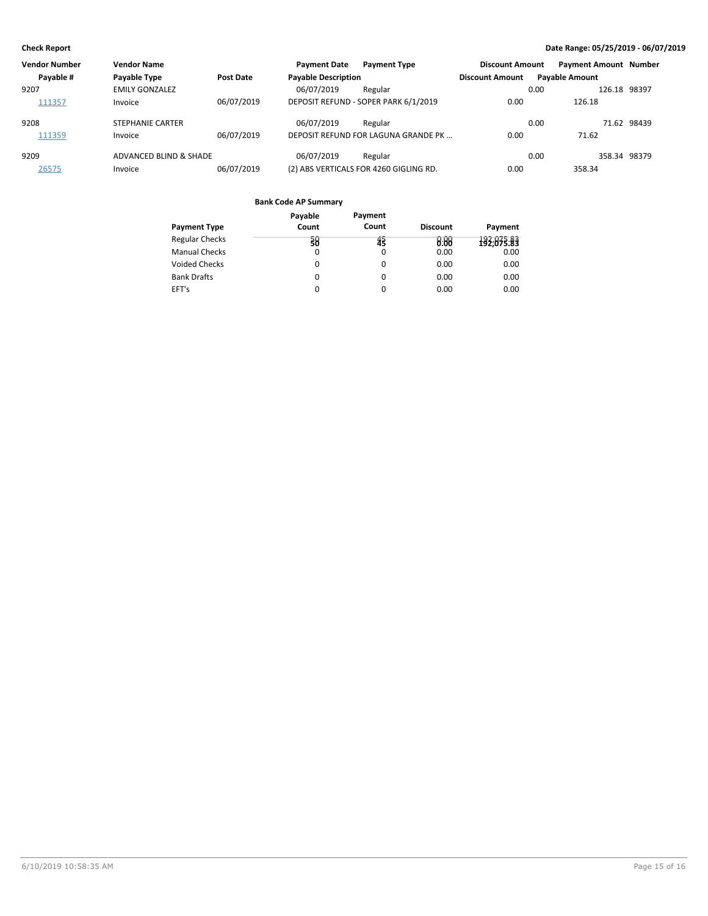| <b>Vendor Number</b> | <b>Vendor Name</b>      |                  | <b>Payment Date</b>        | <b>Payment Type</b>                    | <b>Discount Amount</b> | <b>Payment Amount Number</b> |              |
|----------------------|-------------------------|------------------|----------------------------|----------------------------------------|------------------------|------------------------------|--------------|
| Payable #            | Payable Type            | <b>Post Date</b> | <b>Payable Description</b> |                                        | <b>Discount Amount</b> | <b>Payable Amount</b>        |              |
| 9207                 | <b>EMILY GONZALEZ</b>   |                  | 06/07/2019                 | Regular                                |                        | 0.00                         | 126.18 98397 |
| 111357               | Invoice                 | 06/07/2019       |                            | DEPOSIT REFUND - SOPER PARK 6/1/2019   | 0.00                   | 126.18                       |              |
| 9208                 | <b>STEPHANIE CARTER</b> |                  | 06/07/2019                 | Regular                                |                        | 0.00                         | 71.62 98439  |
| 111359               | Invoice                 | 06/07/2019       |                            | DEPOSIT REFUND FOR LAGUNA GRANDE PK    | 0.00                   | 71.62                        |              |
| 9209                 | ADVANCED BLIND & SHADE  |                  | 06/07/2019                 | Regular                                |                        | 0.00                         | 358.34 98379 |
| 26575                | Invoice                 | 06/07/2019       |                            | (2) ABS VERTICALS FOR 4260 GIGLING RD. | 0.00                   | 358.34                       |              |

| Payable<br>Count | Payment<br>Count | <b>Discount</b> | Payment    |
|------------------|------------------|-----------------|------------|
|                  |                  |                 | 192,075.83 |
| $\Omega$         | 0                | 0.00            | 0.00       |
| 0                | 0                | 0.00            | 0.00       |
| 0                | 0                | 0.00            | 0.00       |
| 0                | 0                | 0.00            | 0.00       |
|                  | 38               | 43              | 8.88       |